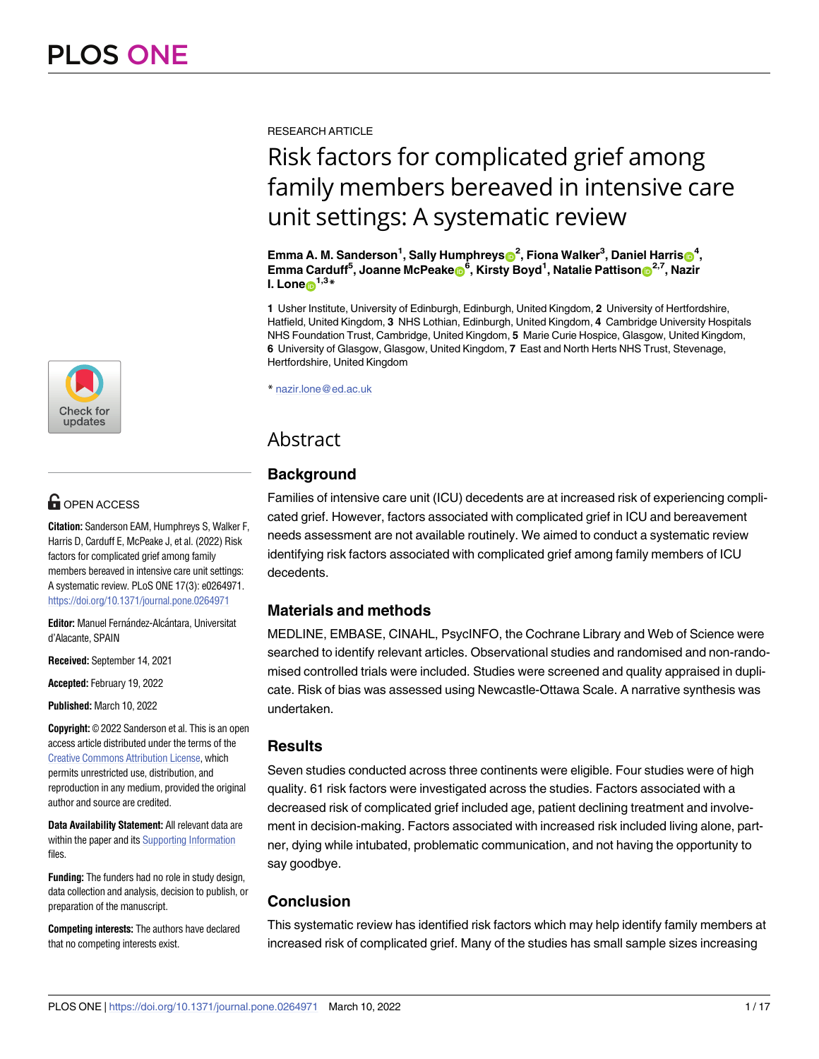

# **OPEN ACCESS**

**Citation:** Sanderson EAM, Humphreys S, Walker F, Harris D, Carduff E, McPeake J, et al. (2022) Risk factors for complicated grief among family members bereaved in intensive care unit settings: A systematic review. PLoS ONE 17(3): e0264971. <https://doi.org/10.1371/journal.pone.0264971>

**Editor:** Manuel Fernández-Alcántara, Universitat d'Alacante, SPAIN

**Received:** September 14, 2021

**Accepted:** February 19, 2022

**Published:** March 10, 2022

**Copyright:** © 2022 Sanderson et al. This is an open access article distributed under the terms of the Creative Commons [Attribution](http://creativecommons.org/licenses/by/4.0/) License, which permits unrestricted use, distribution, and reproduction in any medium, provided the original author and source are credited.

**Data Availability Statement:** All relevant data are within the paper and its Supporting [Information](#page-13-0) files.

**Funding:** The funders had no role in study design, data collection and analysis, decision to publish, or preparation of the manuscript.

**Competing interests:** The authors have declared that no competing interests exist.

RESEARCH ARTICLE

# Risk factors for complicated grief among family members bereaved in intensive care unit settings: A systematic review

 ${\bf E}$ mma A. M. Sanderson<sup>1</sup>, Sally Humphreys ${\bf \odot}^2$ , Fiona Walker<sup>3</sup>, Daniel Harris ${\bf \odot}^4,$  $\mathsf{Emma}$  Carduff<sup>5</sup>, Joanne McPeake $\mathbf{\Theta}^{\mathbf{6}}$ , Kirsty Boyd<sup>1</sup>, Natalie Pattison $\mathbf{\Theta}^{2,7}$ , Nazir **I.** Lone $p^{1,3*}$ 

**1** Usher Institute, University of Edinburgh, Edinburgh, United Kingdom, **2** University of Hertfordshire, Hatfield, United Kingdom, **3** NHS Lothian, Edinburgh, United Kingdom, **4** Cambridge University Hospitals NHS Foundation Trust, Cambridge, United Kingdom, **5** Marie Curie Hospice, Glasgow, United Kingdom, **6** University of Glasgow, Glasgow, United Kingdom, **7** East and North Herts NHS Trust, Stevenage, Hertfordshire, United Kingdom

\* nazir.lone@ed.ac.uk

# Abstract

# **Background**

Families of intensive care unit (ICU) decedents are at increased risk of experiencing complicated grief. However, factors associated with complicated grief in ICU and bereavement needs assessment are not available routinely. We aimed to conduct a systematic review identifying risk factors associated with complicated grief among family members of ICU decedents.

## **Materials and methods**

MEDLINE, EMBASE, CINAHL, PsycINFO, the Cochrane Library and Web of Science were searched to identify relevant articles. Observational studies and randomised and non-randomised controlled trials were included. Studies were screened and quality appraised in duplicate. Risk of bias was assessed using Newcastle-Ottawa Scale. A narrative synthesis was undertaken.

#### **Results**

Seven studies conducted across three continents were eligible. Four studies were of high quality. 61 risk factors were investigated across the studies. Factors associated with a decreased risk of complicated grief included age, patient declining treatment and involvement in decision-making. Factors associated with increased risk included living alone, partner, dying while intubated, problematic communication, and not having the opportunity to say goodbye.

## **Conclusion**

This systematic review has identified risk factors which may help identify family members at increased risk of complicated grief. Many of the studies has small sample sizes increasing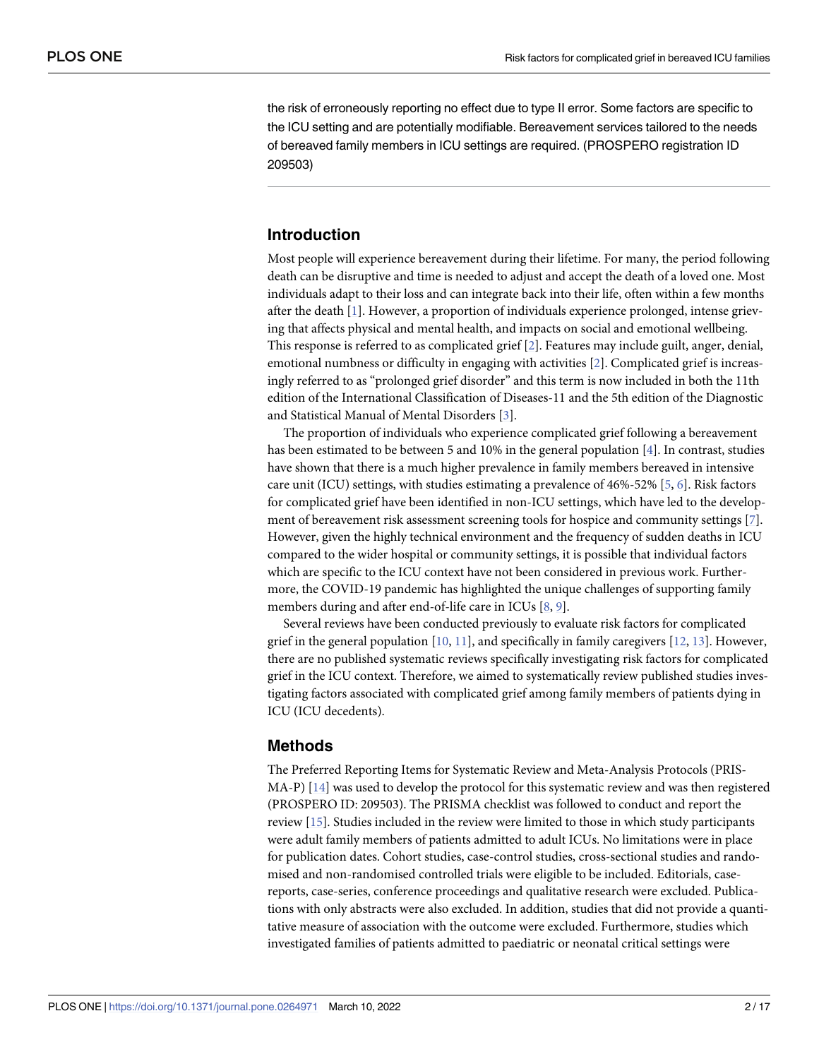<span id="page-1-0"></span>the risk of erroneously reporting no effect due to type II error. Some factors are specific to the ICU setting and are potentially modifiable. Bereavement services tailored to the needs of bereaved family members in ICU settings are required. (PROSPERO registration ID 209503)

### **Introduction**

Most people will experience bereavement during their lifetime. For many, the period following death can be disruptive and time is needed to adjust and accept the death of a loved one. Most individuals adapt to their loss and can integrate back into their life, often within a few months after the death [[1\]](#page-14-0). However, a proportion of individuals experience prolonged, intense grieving that affects physical and mental health, and impacts on social and emotional wellbeing. This response is referred to as complicated grief [\[2\]](#page-14-0). Features may include guilt, anger, denial, emotional numbness or difficulty in engaging with activities [\[2\]](#page-14-0). Complicated grief is increasingly referred to as "prolonged grief disorder" and this term is now included in both the 11th edition of the International Classification of Diseases-11 and the 5th edition of the Diagnostic and Statistical Manual of Mental Disorders [\[3\]](#page-14-0).

The proportion of individuals who experience complicated grief following a bereavement has been estimated to be between 5 and 10% in the general population [[4](#page-14-0)]. In contrast, studies have shown that there is a much higher prevalence in family members bereaved in intensive care unit (ICU) settings, with studies estimating a prevalence of 46%-52% [\[5,](#page-14-0) [6](#page-14-0)]. Risk factors for complicated grief have been identified in non-ICU settings, which have led to the development of bereavement risk assessment screening tools for hospice and community settings [\[7\]](#page-14-0). However, given the highly technical environment and the frequency of sudden deaths in ICU compared to the wider hospital or community settings, it is possible that individual factors which are specific to the ICU context have not been considered in previous work. Furthermore, the COVID-19 pandemic has highlighted the unique challenges of supporting family members during and after end-of-life care in ICUs [\[8](#page-14-0), [9](#page-14-0)].

Several reviews have been conducted previously to evaluate risk factors for complicated grief in the general population  $[10, 11]$  $[10, 11]$  $[10, 11]$ , and specifically in family caregivers  $[12, 13]$  $[12, 13]$  $[12, 13]$  $[12, 13]$  $[12, 13]$ . However, there are no published systematic reviews specifically investigating risk factors for complicated grief in the ICU context. Therefore, we aimed to systematically review published studies investigating factors associated with complicated grief among family members of patients dying in ICU (ICU decedents).

#### **Methods**

The Preferred Reporting Items for Systematic Review and Meta-Analysis Protocols (PRIS-MA-P) [[14](#page-14-0)] was used to develop the protocol for this systematic review and was then registered (PROSPERO ID: 209503). The PRISMA checklist was followed to conduct and report the review [[15](#page-14-0)]. Studies included in the review were limited to those in which study participants were adult family members of patients admitted to adult ICUs. No limitations were in place for publication dates. Cohort studies, case-control studies, cross-sectional studies and randomised and non-randomised controlled trials were eligible to be included. Editorials, casereports, case-series, conference proceedings and qualitative research were excluded. Publications with only abstracts were also excluded. In addition, studies that did not provide a quantitative measure of association with the outcome were excluded. Furthermore, studies which investigated families of patients admitted to paediatric or neonatal critical settings were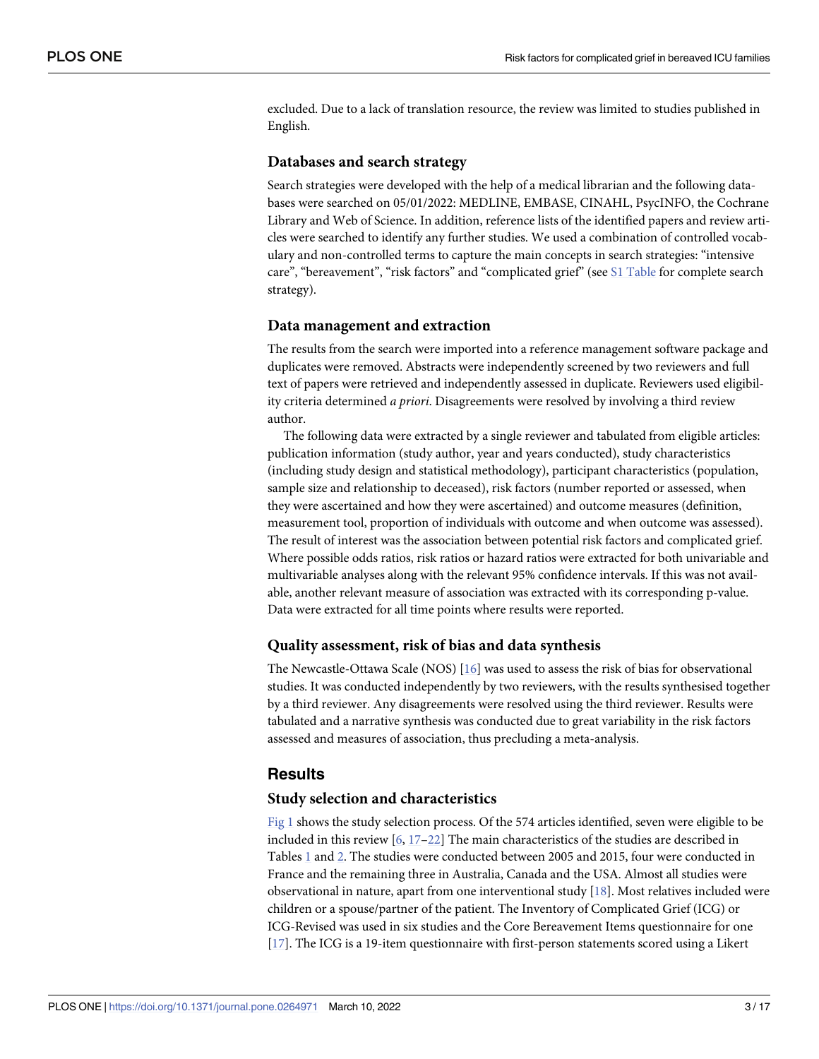<span id="page-2-0"></span>excluded. Due to a lack of translation resource, the review was limited to studies published in English.

#### **Databases and search strategy**

Search strategies were developed with the help of a medical librarian and the following databases were searched on 05/01/2022: MEDLINE, EMBASE, CINAHL, PsycINFO, the Cochrane Library and Web of Science. In addition, reference lists of the identified papers and review articles were searched to identify any further studies. We used a combination of controlled vocabulary and non-controlled terms to capture the main concepts in search strategies: "intensive care", "bereavement", "risk factors" and "complicated grief" (see S1 [Table](#page-13-0) for complete search strategy).

#### **Data management and extraction**

The results from the search were imported into a reference management software package and duplicates were removed. Abstracts were independently screened by two reviewers and full text of papers were retrieved and independently assessed in duplicate. Reviewers used eligibility criteria determined *a priori*. Disagreements were resolved by involving a third review author.

The following data were extracted by a single reviewer and tabulated from eligible articles: publication information (study author, year and years conducted), study characteristics (including study design and statistical methodology), participant characteristics (population, sample size and relationship to deceased), risk factors (number reported or assessed, when they were ascertained and how they were ascertained) and outcome measures (definition, measurement tool, proportion of individuals with outcome and when outcome was assessed). The result of interest was the association between potential risk factors and complicated grief. Where possible odds ratios, risk ratios or hazard ratios were extracted for both univariable and multivariable analyses along with the relevant 95% confidence intervals. If this was not available, another relevant measure of association was extracted with its corresponding p-value. Data were extracted for all time points where results were reported.

#### **Quality assessment, risk of bias and data synthesis**

The Newcastle-Ottawa Scale (NOS) [\[16\]](#page-14-0) was used to assess the risk of bias for observational studies. It was conducted independently by two reviewers, with the results synthesised together by a third reviewer. Any disagreements were resolved using the third reviewer. Results were tabulated and a narrative synthesis was conducted due to great variability in the risk factors assessed and measures of association, thus precluding a meta-analysis.

#### **Results**

#### **Study selection and characteristics**

[Fig](#page-3-0) 1 shows the study selection process. Of the 574 articles identified, seven were eligible to be included in this review [\[6,](#page-14-0) [17–](#page-14-0)[22](#page-15-0)] The main characteristics of the studies are described in Tables [1](#page-4-0) and [2](#page-5-0). The studies were conducted between 2005 and 2015, four were conducted in France and the remaining three in Australia, Canada and the USA. Almost all studies were observational in nature, apart from one interventional study [\[18\]](#page-15-0). Most relatives included were children or a spouse/partner of the patient. The Inventory of Complicated Grief (ICG) or ICG-Revised was used in six studies and the Core Bereavement Items questionnaire for one [\[17\]](#page-14-0). The ICG is a 19-item questionnaire with first-person statements scored using a Likert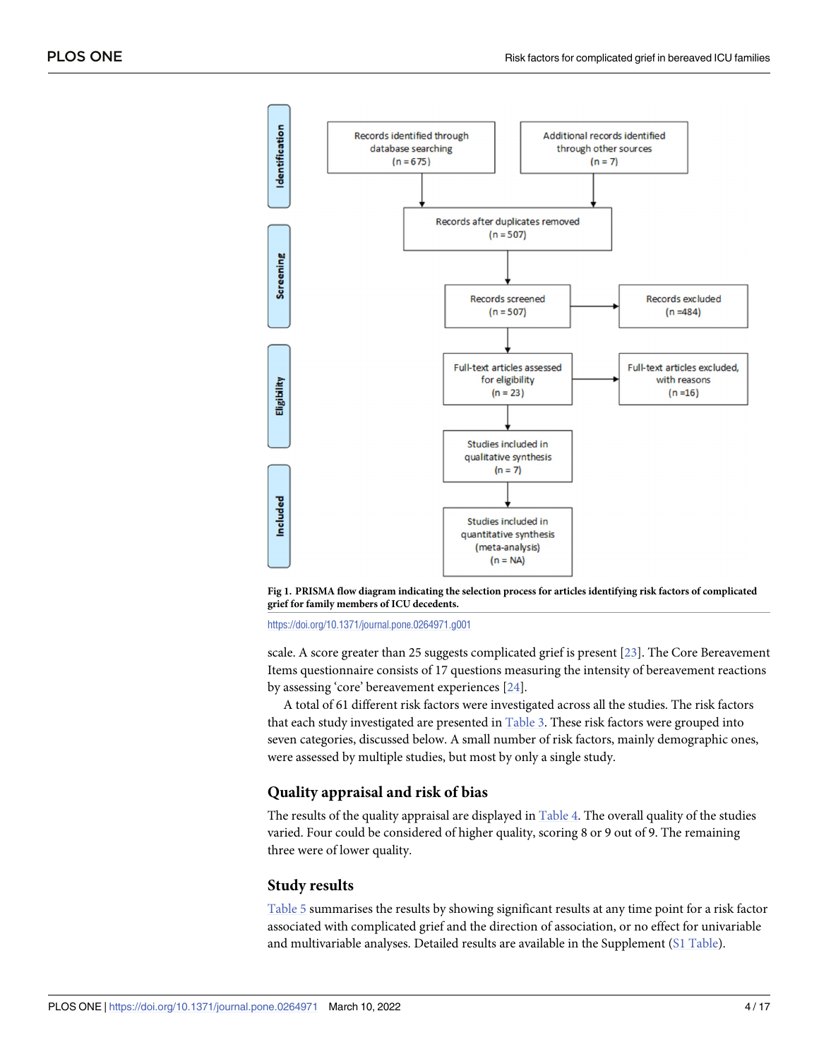<span id="page-3-0"></span>

**[Fig](#page-2-0) 1. PRISMA flow diagram indicating the selection process for articles identifying risk factors of complicated grief for family members of ICU decedents.**

<https://doi.org/10.1371/journal.pone.0264971.g001>

scale. A score greater than 25 suggests complicated grief is present [\[23\]](#page-15-0). The Core Bereavement Items questionnaire consists of 17 questions measuring the intensity of bereavement reactions by assessing 'core' bereavement experiences [\[24\]](#page-15-0).

A total of 61 different risk factors were investigated across all the studies. The risk factors that each study investigated are presented in [Table](#page-7-0) 3. These risk factors were grouped into seven categories, discussed below. A small number of risk factors, mainly demographic ones, were assessed by multiple studies, but most by only a single study.

#### **Quality appraisal and risk of bias**

The results of the quality appraisal are displayed in [Table](#page-9-0) 4. The overall quality of the studies varied. Four could be considered of higher quality, scoring 8 or 9 out of 9. The remaining three were of lower quality.

#### **Study results**

[Table](#page-10-0) 5 summarises the results by showing significant results at any time point for a risk factor associated with complicated grief and the direction of association, or no effect for univariable and multivariable analyses. Detailed results are available in the Supplement (S1 [Table](#page-13-0)).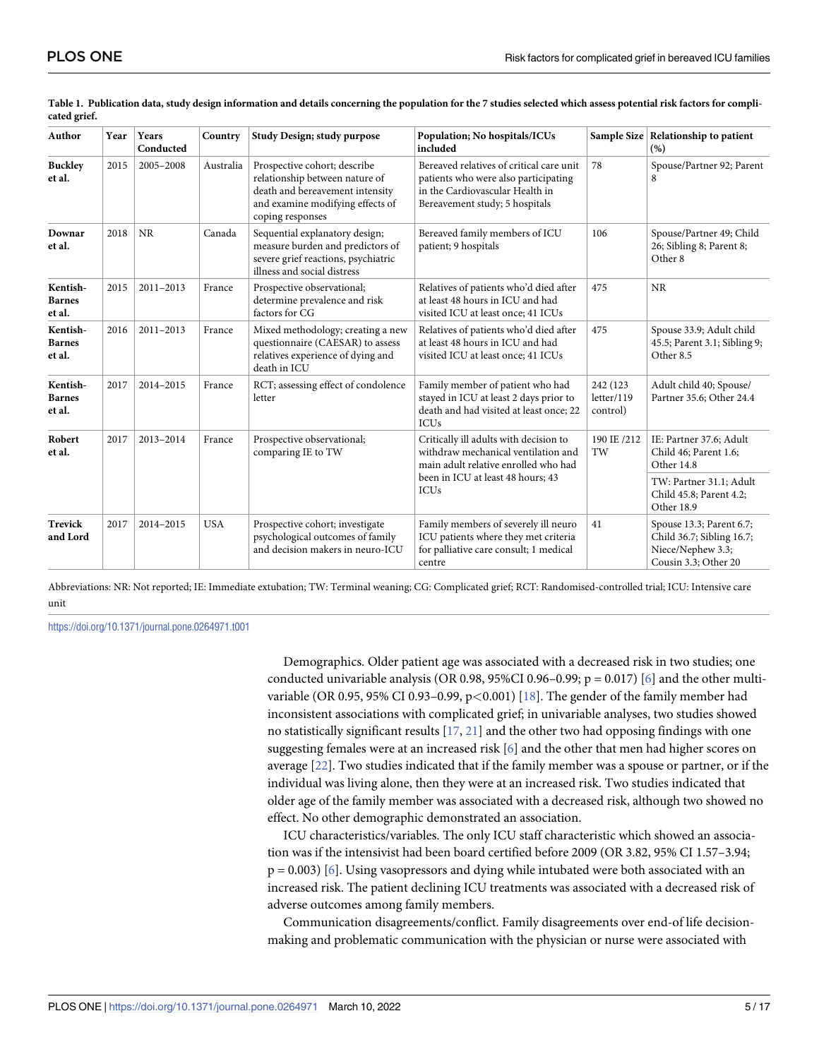| Author                              | Year | Years<br>Conducted | Country    | Study Design; study purpose<br>Population; No hospitals/ICUs<br>included                                                                                                                                                                       |                                                                                                                                                                           |                                     | Sample Size   Relationship to patient<br>(% )                                                      |
|-------------------------------------|------|--------------------|------------|------------------------------------------------------------------------------------------------------------------------------------------------------------------------------------------------------------------------------------------------|---------------------------------------------------------------------------------------------------------------------------------------------------------------------------|-------------------------------------|----------------------------------------------------------------------------------------------------|
| <b>Buckley</b><br>et al.            | 2015 | 2005-2008          | Australia  | Prospective cohort; describe<br>relationship between nature of<br>death and bereavement intensity<br>and examine modifying effects of<br>coping responses                                                                                      | Bereaved relatives of critical care unit<br>78<br>patients who were also participating<br>in the Cardiovascular Health in<br>Bereavement study; 5 hospitals               |                                     | Spouse/Partner 92; Parent<br>8                                                                     |
| Downar<br>et al.                    | 2018 | <b>NR</b>          | Canada     | Sequential explanatory design;<br>measure burden and predictors of<br>severe grief reactions, psychiatric<br>illness and social distress                                                                                                       | Bereaved family members of ICU<br>patient; 9 hospitals                                                                                                                    | 106                                 | Spouse/Partner 49; Child<br>26; Sibling 8; Parent 8;<br>Other 8                                    |
| Kentish-<br><b>Barnes</b><br>et al. | 2015 | 2011-2013          | France     | Prospective observational;<br>determine prevalence and risk<br>factors for CG                                                                                                                                                                  | Relatives of patients who'd died after<br>at least 48 hours in ICU and had<br>visited ICU at least once; 41 ICUs                                                          | 475                                 | <b>NR</b>                                                                                          |
| Kentish-<br><b>Barnes</b><br>et al. | 2016 | 2011-2013          | France     | Mixed methodology; creating a new<br>Relatives of patients who'd died after<br>at least 48 hours in ICU and had<br>questionnaire (CAESAR) to assess<br>relatives experience of dying and<br>visited ICU at least once; 41 ICUs<br>death in ICU |                                                                                                                                                                           | 475                                 | Spouse 33.9; Adult child<br>45.5; Parent 3.1; Sibling 9;<br>Other 8.5                              |
| Kentish-<br><b>Barnes</b><br>et al. | 2017 | 2014-2015          | France     | RCT; assessing effect of condolence<br>letter                                                                                                                                                                                                  | Family member of patient who had<br>stayed in ICU at least 2 days prior to<br>death and had visited at least once; 22<br><b>ICUs</b>                                      | 242 (123)<br>letter/119<br>control) | Adult child 40; Spouse/<br>Partner 35.6; Other 24.4                                                |
| Robert<br>2017<br>et al.            |      | 2013-2014          | France     | Prospective observational;<br>comparing IE to TW                                                                                                                                                                                               | Critically ill adults with decision to<br>withdraw mechanical ventilation and<br>main adult relative enrolled who had<br>been in ICU at least 48 hours; 43<br><b>ICUs</b> | 190 IE /212<br>TW                   | IE: Partner 37.6; Adult<br>Child 46; Parent 1.6;<br>Other 14.8                                     |
|                                     |      |                    |            |                                                                                                                                                                                                                                                |                                                                                                                                                                           |                                     | TW: Partner 31.1; Adult<br>Child 45.8; Parent 4.2;<br>Other 18.9                                   |
| Trevick<br>and Lord                 | 2017 | 2014-2015          | <b>USA</b> | Prospective cohort; investigate<br>psychological outcomes of family<br>and decision makers in neuro-ICU                                                                                                                                        | Family members of severely ill neuro<br>ICU patients where they met criteria<br>for palliative care consult; 1 medical<br>centre                                          | 41                                  | Spouse 13.3; Parent 6.7;<br>Child 36.7; Sibling 16.7;<br>Niece/Nephew 3.3;<br>Cousin 3.3; Other 20 |

<span id="page-4-0"></span>[Table](#page-2-0) 1. Publication data, study design information and details concerning the population for the 7 studies selected which assess potential risk factors for compli**cated grief.**

Abbreviations: NR: Not reported; IE: Immediate extubation; TW: Terminal weaning; CG: Complicated grief; RCT: Randomised-controlled trial; ICU: Intensive care unit

<https://doi.org/10.1371/journal.pone.0264971.t001>

Demographics. Older patient age was associated with a decreased risk in two studies; one conducted univariable analysis (OR 0.98, 95%CI 0.96–0.99;  $p = 0.017$ ) [\[6](#page-14-0)] and the other multivariable (OR 0.95, 95% CI 0.93–0.99, p*<*0.001) [\[18\]](#page-15-0). The gender of the family member had inconsistent associations with complicated grief; in univariable analyses, two studies showed no statistically significant results [\[17,](#page-14-0) [21\]](#page-15-0) and the other two had opposing findings with one suggesting females were at an increased risk [[6](#page-14-0)] and the other that men had higher scores on average [[22](#page-15-0)]. Two studies indicated that if the family member was a spouse or partner, or if the individual was living alone, then they were at an increased risk. Two studies indicated that older age of the family member was associated with a decreased risk, although two showed no effect. No other demographic demonstrated an association.

ICU characteristics/variables. The only ICU staff characteristic which showed an association was if the intensivist had been board certified before 2009 (OR 3.82, 95% CI 1.57–3.94;  $p = 0.003$  [[6](#page-14-0)]. Using vasopressors and dying while intubated were both associated with an increased risk. The patient declining ICU treatments was associated with a decreased risk of adverse outcomes among family members.

Communication disagreements/conflict. Family disagreements over end-of life decisionmaking and problematic communication with the physician or nurse were associated with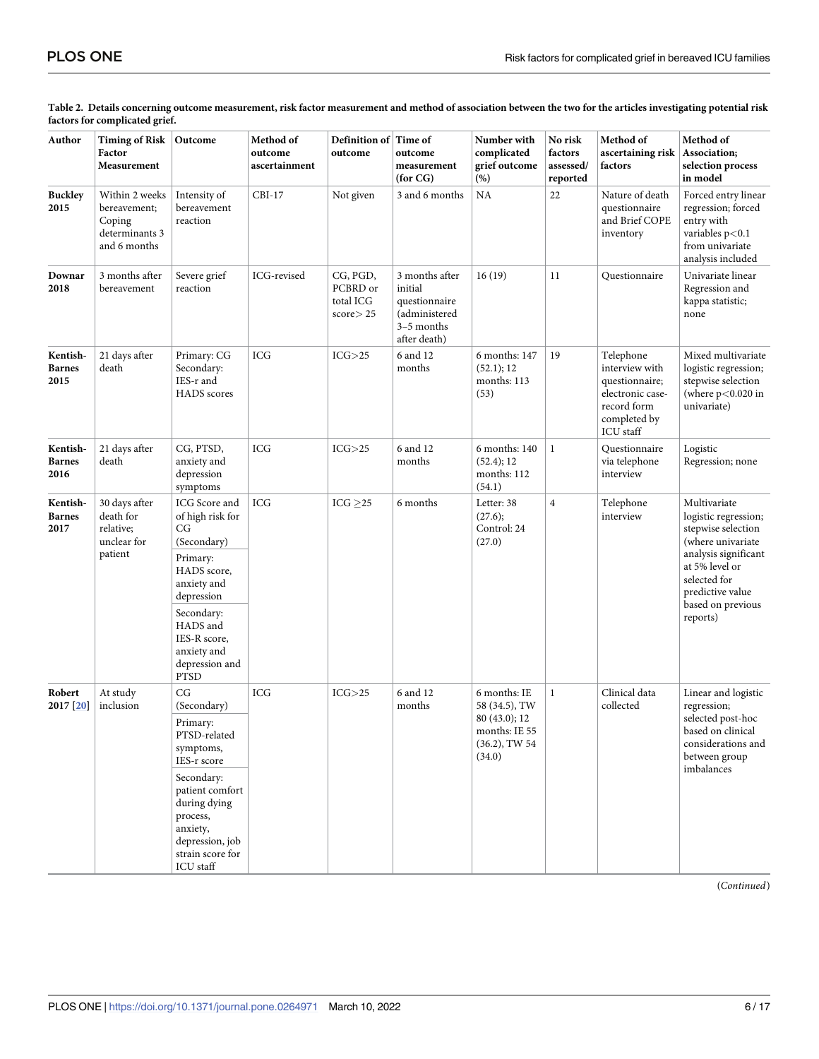| Author                            | <b>Timing of Risk</b><br>Factor<br>Measurement                             | Outcome                                                                                                                   | Method of<br>outcome<br>ascertainment | Definition of Time of<br>outcome                    | outcome<br>measurement<br>(for CG)                                                        | Number with<br>complicated<br>grief outcome<br>(%)                                            | No risk<br>factors<br>assessed/<br>reported | Method of<br>ascertaining risk<br>factors                                                                            | Method of<br>Association;<br>selection process<br>in model                                                                                |
|-----------------------------------|----------------------------------------------------------------------------|---------------------------------------------------------------------------------------------------------------------------|---------------------------------------|-----------------------------------------------------|-------------------------------------------------------------------------------------------|-----------------------------------------------------------------------------------------------|---------------------------------------------|----------------------------------------------------------------------------------------------------------------------|-------------------------------------------------------------------------------------------------------------------------------------------|
| <b>Buckley</b><br>2015            | Within 2 weeks<br>bereavement;<br>Coping<br>determinants 3<br>and 6 months | Intensity of<br>bereavement<br>reaction                                                                                   | $CBI-17$                              | Not given                                           | 3 and 6 months                                                                            | NA                                                                                            | 22                                          | Nature of death<br>questionnaire<br>and Brief COPE<br>inventory                                                      | Forced entry linear<br>regression; forced<br>entry with<br>variables $p<0.1$<br>from univariate<br>analysis included                      |
| Downar<br>2018                    | 3 months after<br>bereavement                                              | Severe grief<br>reaction                                                                                                  | ICG-revised                           | CG, PGD,<br>PCBRD or<br>total ICG<br>$score$ $>$ 25 | 3 months after<br>initial<br>questionnaire<br>(administered<br>3-5 months<br>after death) | 16(19)                                                                                        | 11                                          | Questionnaire                                                                                                        | Univariate linear<br>Regression and<br>kappa statistic;<br>none                                                                           |
| Kentish-<br><b>Barnes</b><br>2015 | 21 days after<br>death                                                     | Primary: CG<br>Secondary:<br>IES-r and<br>HADS scores                                                                     | <b>ICG</b>                            | ICG > 25                                            | 6 and 12<br>months                                                                        | 6 months: 147<br>(52.1); 12<br>months: 113<br>(53)                                            | 19                                          | Telephone<br>interview with<br>questionnaire;<br>electronic case-<br>record form<br>completed by<br><b>ICU</b> staff | Mixed multivariate<br>logistic regression;<br>stepwise selection<br>(where $p<0.020$ in<br>univariate)                                    |
| Kentish-<br><b>Barnes</b><br>2016 | 21 days after<br>death                                                     | CG, PTSD,<br>anxiety and<br>depression<br>symptoms                                                                        | <b>ICG</b>                            | ICG > 25                                            | 6 and 12<br>months                                                                        | 6 months: 140<br>(52.4); 12<br>months: 112<br>(54.1)                                          | $\mathbf{1}$                                | Questionnaire<br>via telephone<br>interview                                                                          | Logistic<br>Regression; none                                                                                                              |
| Kentish-<br><b>Barnes</b><br>2017 | 30 days after<br>death for<br>relative;<br>unclear for<br>patient          | ICG Score and<br>of high risk for<br>CG<br>(Secondary)<br>Primary:<br>HADS score,                                         | <b>ICG</b>                            | $ICG \geq 25$                                       | 6 months                                                                                  | Letter: 38<br>(27.6);<br>Control: 24<br>(27.0)                                                | $\overline{4}$                              | Telephone<br>interview                                                                                               | Multivariate<br>logistic regression;<br>stepwise selection<br>(where univariate<br>analysis significant<br>at 5% level or<br>selected for |
|                                   |                                                                            | anxiety and<br>depression<br>Secondary:<br>HADS and<br>IES-R score,<br>anxiety and<br>depression and<br><b>PTSD</b>       |                                       |                                                     |                                                                                           |                                                                                               |                                             |                                                                                                                      | predictive value<br>based on previous<br>reports)                                                                                         |
| Robert<br>2017 [20]               | At study<br>inclusion                                                      | CG<br>(Secondary)<br>Primary:<br>PTSD-related<br>symptoms,<br>IES-r score                                                 | <b>ICG</b>                            | ICG > 25                                            | 6 and 12<br>months                                                                        | 6 months: IE<br>58 (34.5), TW<br>80 (43.0); 12<br>months: IE 55<br>$(36.2)$ , TW 54<br>(34.0) | $\mathbf{1}$                                | Clinical data<br>collected                                                                                           | Linear and logistic<br>regression;<br>selected post-hoc<br>based on clinical<br>considerations and<br>between group                       |
|                                   |                                                                            | Secondary:<br>patient comfort<br>during dying<br>process,<br>anxiety,<br>depression, job<br>strain score for<br>ICU staff |                                       |                                                     |                                                                                           |                                                                                               |                                             |                                                                                                                      | imbalances                                                                                                                                |

<span id="page-5-0"></span>[Table](#page-2-0) 2. Details concerning outcome measurement, risk factor measurement and method of association between the two for the articles investigating potential risk **factors for complicated grief.**

(*Continued*)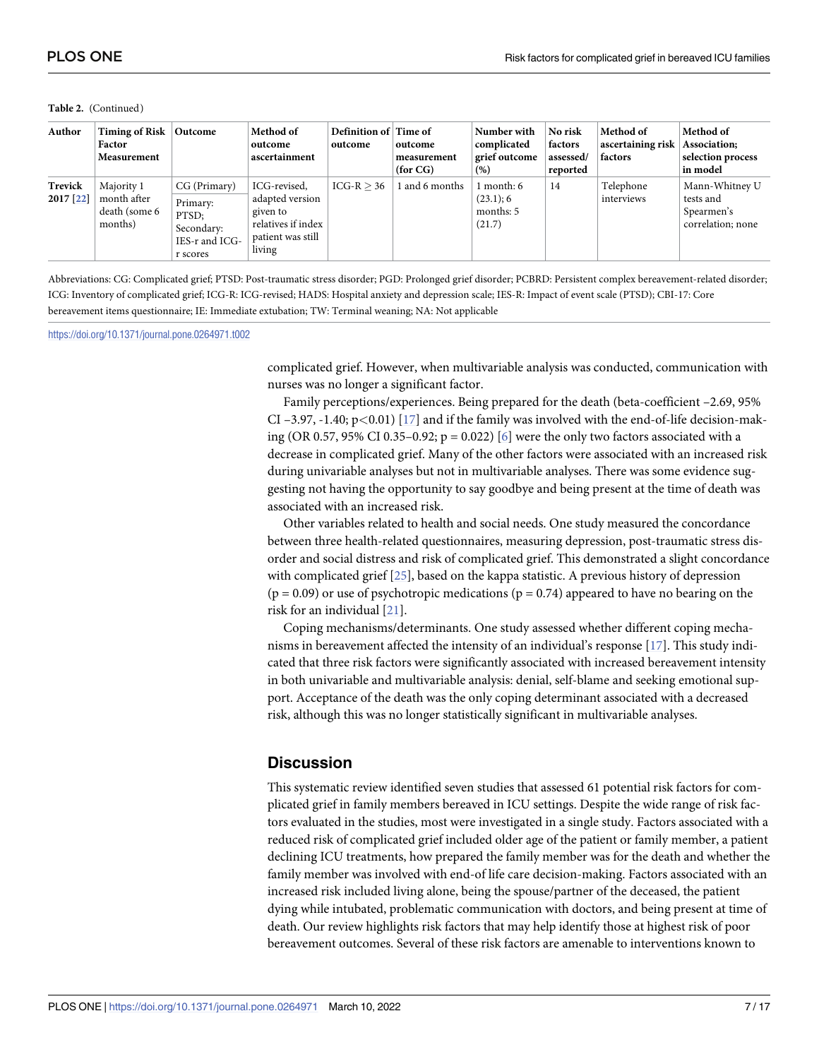#### <span id="page-6-0"></span>**Table 2.** (Continued)

| Author               | Timing of Risk<br>Factor<br>Measurement                | Outcome                                                                       | Method of<br>outcome<br>ascertainment                                                            | Definition of Time of<br>outcome | outcome<br>measurement<br>(for CG) | Number with<br>complicated<br>grief outcome<br>(%) | No risk<br>factors<br>assessed/<br>reported | Method of<br>ascertaining risk<br>factors | Method of<br>Association;<br>selection process<br>in model     |
|----------------------|--------------------------------------------------------|-------------------------------------------------------------------------------|--------------------------------------------------------------------------------------------------|----------------------------------|------------------------------------|----------------------------------------------------|---------------------------------------------|-------------------------------------------|----------------------------------------------------------------|
| Trevick<br>2017 [22] | Majority 1<br>month after<br>death (some 6)<br>months) | CG (Primary)<br>Primary:<br>PTSD:<br>Secondary:<br>IES-r and ICG-<br>r scores | ICG-revised,<br>adapted version<br>given to<br>relatives if index<br>patient was still<br>living | $ICG-R > 36$                     | 1 and 6 months                     | 1 month: 6<br>(23.1); 6<br>months: 5<br>(21.7)     | 14                                          | Telephone<br>interviews                   | Mann-Whitney U<br>tests and<br>Spearmen's<br>correlation; none |

Abbreviations: CG: Complicated grief; PTSD: Post-traumatic stress disorder; PGD: Prolonged grief disorder; PCBRD: Persistent complex bereavement-related disorder; ICG: Inventory of complicated grief; ICG-R: ICG-revised; HADS: Hospital anxiety and depression scale; IES-R: Impact of event scale (PTSD); CBI-17: Core bereavement items questionnaire; IE: Immediate extubation; TW: Terminal weaning; NA: Not applicable

<https://doi.org/10.1371/journal.pone.0264971.t002>

complicated grief. However, when multivariable analysis was conducted, communication with nurses was no longer a significant factor.

Family perceptions/experiences. Being prepared for the death (beta-coefficient –2.69, 95% CI –3.97, -1.40; p*<*0.01) [\[17\]](#page-14-0) and if the family was involved with the end-of-life decision-making (OR 0.57, 95% CI 0.35–0.92;  $p = 0.022$ ) [\[6\]](#page-14-0) were the only two factors associated with a decrease in complicated grief. Many of the other factors were associated with an increased risk during univariable analyses but not in multivariable analyses. There was some evidence suggesting not having the opportunity to say goodbye and being present at the time of death was associated with an increased risk.

Other variables related to health and social needs. One study measured the concordance between three health-related questionnaires, measuring depression, post-traumatic stress disorder and social distress and risk of complicated grief. This demonstrated a slight concordance with complicated grief [[25](#page-15-0)], based on the kappa statistic. A previous history of depression  $(p = 0.09)$  or use of psychotropic medications  $(p = 0.74)$  appeared to have no bearing on the risk for an individual [\[21\]](#page-15-0).

Coping mechanisms/determinants. One study assessed whether different coping mechanisms in bereavement affected the intensity of an individual's response [[17](#page-14-0)]. This study indicated that three risk factors were significantly associated with increased bereavement intensity in both univariable and multivariable analysis: denial, self-blame and seeking emotional support. Acceptance of the death was the only coping determinant associated with a decreased risk, although this was no longer statistically significant in multivariable analyses.

#### **Discussion**

This systematic review identified seven studies that assessed 61 potential risk factors for complicated grief in family members bereaved in ICU settings. Despite the wide range of risk factors evaluated in the studies, most were investigated in a single study. Factors associated with a reduced risk of complicated grief included older age of the patient or family member, a patient declining ICU treatments, how prepared the family member was for the death and whether the family member was involved with end-of life care decision-making. Factors associated with an increased risk included living alone, being the spouse/partner of the deceased, the patient dying while intubated, problematic communication with doctors, and being present at time of death. Our review highlights risk factors that may help identify those at highest risk of poor bereavement outcomes. Several of these risk factors are amenable to interventions known to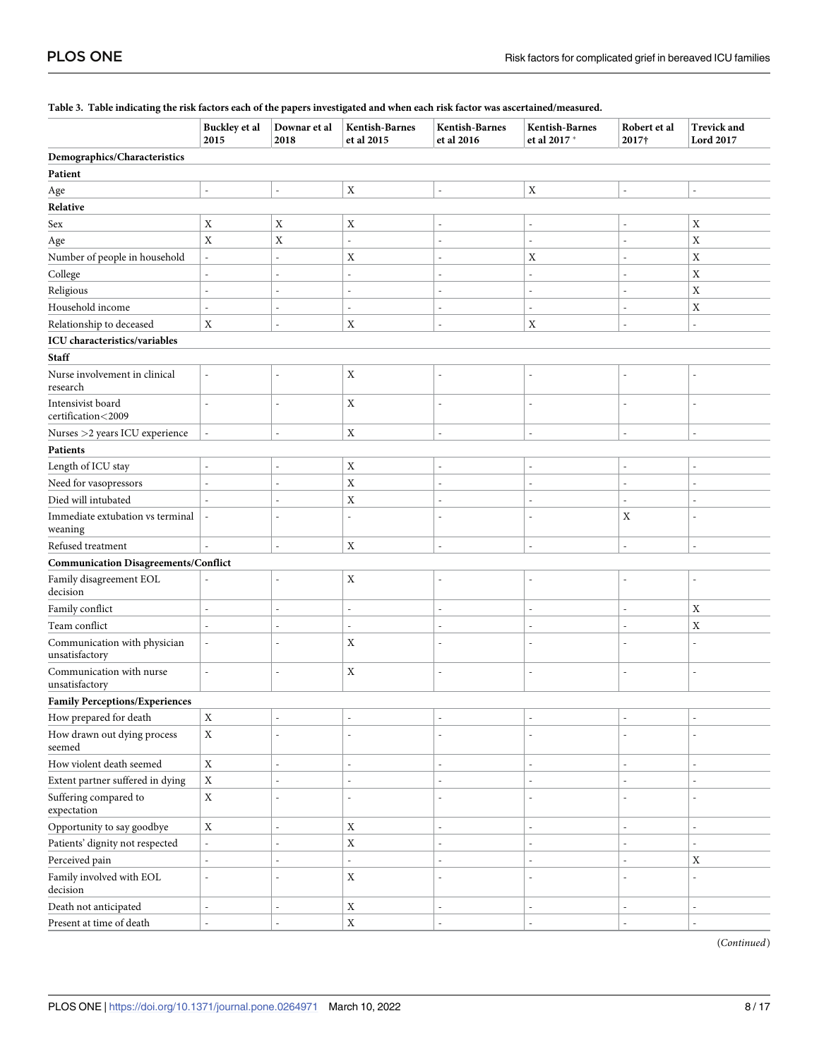| Ξ.                                             | Buckley et al<br>2015    | Downar et al<br>2018     | Kentish-Barnes<br>et al 2015 | Kentish-Barnes<br>et al 2016 | Kentish-Barnes<br>et al 2017 * | Robert et al<br>2017†    | <b>Trevick and</b><br><b>Lord 2017</b> |
|------------------------------------------------|--------------------------|--------------------------|------------------------------|------------------------------|--------------------------------|--------------------------|----------------------------------------|
| Demographics/Characteristics                   |                          |                          |                              |                              |                                |                          |                                        |
| Patient                                        |                          |                          |                              |                              |                                |                          |                                        |
| Age                                            | $\overline{a}$           | $\overline{a}$           | $\mathbf X$                  | $\overline{\phantom{a}}$     | $\mathbf X$                    | ÷,                       |                                        |
| Relative                                       |                          |                          |                              |                              |                                |                          |                                        |
| Sex                                            | $\mathbf X$              | Χ                        | X                            |                              |                                |                          | X                                      |
| Age                                            | $\mathbf X$              | X                        | $\overline{a}$               |                              | $\overline{a}$                 | Ĭ.                       | X                                      |
| Number of people in household                  | $\overline{a}$           |                          | X                            |                              | X                              | $\overline{a}$           | $\mathbf X$                            |
| College                                        | L,                       |                          | $\overline{a}$               |                              | ۰                              | $\overline{a}$           | $\mathbf X$                            |
| Religious                                      | L,                       |                          | L,                           |                              | ä,                             | L.                       | X                                      |
| Household income                               | L,                       |                          | L,                           |                              | L,                             | Ĭ.                       | X                                      |
| Relationship to deceased                       | $\mathbf X$              |                          | $\mathbf X$                  | $\sim$                       | $\mathbf X$                    | L,                       | $\overline{a}$                         |
| ICU characteristics/variables                  |                          |                          |                              |                              |                                |                          |                                        |
| <b>Staff</b>                                   |                          |                          |                              |                              |                                |                          |                                        |
| Nurse involvement in clinical<br>research      | $\overline{\phantom{a}}$ | $\overline{a}$           | $\mathbf X$                  | $\overline{\phantom{a}}$     | $\overline{a}$                 | $\overline{a}$           | L                                      |
| Intensivist board<br>certification<2009        | L,                       | $\overline{a}$           | $\mathbf X$                  | $\overline{\phantom{a}}$     | L,                             | $\overline{a}$           |                                        |
| Nurses >2 years ICU experience                 |                          | ÷.                       | $\mathbf X$                  | $\sim$                       | $\overline{a}$                 | L,                       |                                        |
| Patients                                       |                          |                          |                              |                              |                                |                          |                                        |
| Length of ICU stay                             | L,                       |                          | $\mathbf X$                  |                              | $\overline{a}$                 | $\overline{a}$           |                                        |
| Need for vasopressors                          | L,                       |                          | $\mathbf X$                  |                              | L.                             | L.                       |                                        |
| Died will intubated                            |                          |                          | $\mathbf X$                  |                              | $\overline{a}$                 |                          |                                        |
| Immediate extubation vs terminal               |                          | $\overline{a}$           | L,                           |                              | L,                             | $\mathbf X$              |                                        |
| weaning                                        |                          |                          |                              |                              |                                |                          |                                        |
| Refused treatment                              |                          | ٠                        | X                            |                              | $\overline{a}$                 | $\overline{a}$           |                                        |
| <b>Communication Disagreements/Conflict</b>    |                          |                          |                              |                              |                                |                          |                                        |
| Family disagreement EOL<br>decision            |                          | $\overline{a}$           | $\mathbf X$                  |                              | $\overline{a}$                 | Ĭ.                       |                                        |
| Family conflict                                | $\overline{a}$           |                          | $\overline{a}$               |                              | ä,                             |                          | Χ                                      |
| Team conflict                                  | L,                       |                          | $\overline{a}$               |                              | L,                             | L,                       | $\mathbf X$                            |
| Communication with physician<br>unsatisfactory | $\overline{a}$           |                          | X                            |                              |                                | Ĭ.                       |                                        |
| Communication with nurse<br>unsatisfactory     | $\overline{a}$           | ÷,                       | $\mathbf X$                  | $\overline{\phantom{a}}$     | $\overline{a}$                 | $\overline{a}$           | L,                                     |
| <b>Family Perceptions/Experiences</b>          |                          |                          |                              |                              |                                |                          |                                        |
| How prepared for death                         | X                        | $\overline{\phantom{a}}$ | $\overline{a}$               | $\overline{\phantom{a}}$     |                                | $\overline{\phantom{a}}$ | $\overline{\phantom{0}}$               |
| How drawn out dying process<br>seemed          | $\mathbf X$              | ä,                       | L,                           | $\overline{\phantom{a}}$     | $\overline{a}$                 | ä,                       |                                        |
| How violent death seemed                       | $\mathbf X$              |                          | $\overline{a}$               | $\overline{\phantom{a}}$     | L.                             | L.                       | L,                                     |
| Extent partner suffered in dying               | $\mathbf X$              |                          | $\overline{a}$               | $\overline{\phantom{a}}$     | L.                             | $\overline{a}$           |                                        |
| Suffering compared to<br>expectation           | $\mathbf X$              | ÷,                       | Ĭ.                           |                              | $\overline{a}$                 | $\overline{a}$           |                                        |
| Opportunity to say goodbye                     | $\mathbf X$              |                          | $\mathbf X$                  |                              |                                | L,                       |                                        |
| Patients' dignity not respected                | $\frac{1}{2}$            |                          | $\mathbf X$                  |                              | L.                             | $\overline{a}$           |                                        |
| Perceived pain                                 | $\overline{a}$           |                          | $\overline{a}$               |                              | L.                             | L.                       | $\mathbf X$                            |
| Family involved with EOL<br>decision           | $\overline{a}$           |                          | $\mathbf X$                  | $\overline{\phantom{a}}$     | $\overline{a}$                 | $\overline{a}$           |                                        |
| Death not anticipated                          |                          |                          | $\mathbf X$                  |                              |                                |                          |                                        |
| Present at time of death                       |                          |                          | $\mathbf X$                  |                              |                                |                          |                                        |

#### <span id="page-7-0"></span>[Table](#page-3-0) 3. Table indicating the risk factors each of the papers investigated and when each risk factor was ascertained/measured.

(*Continued*)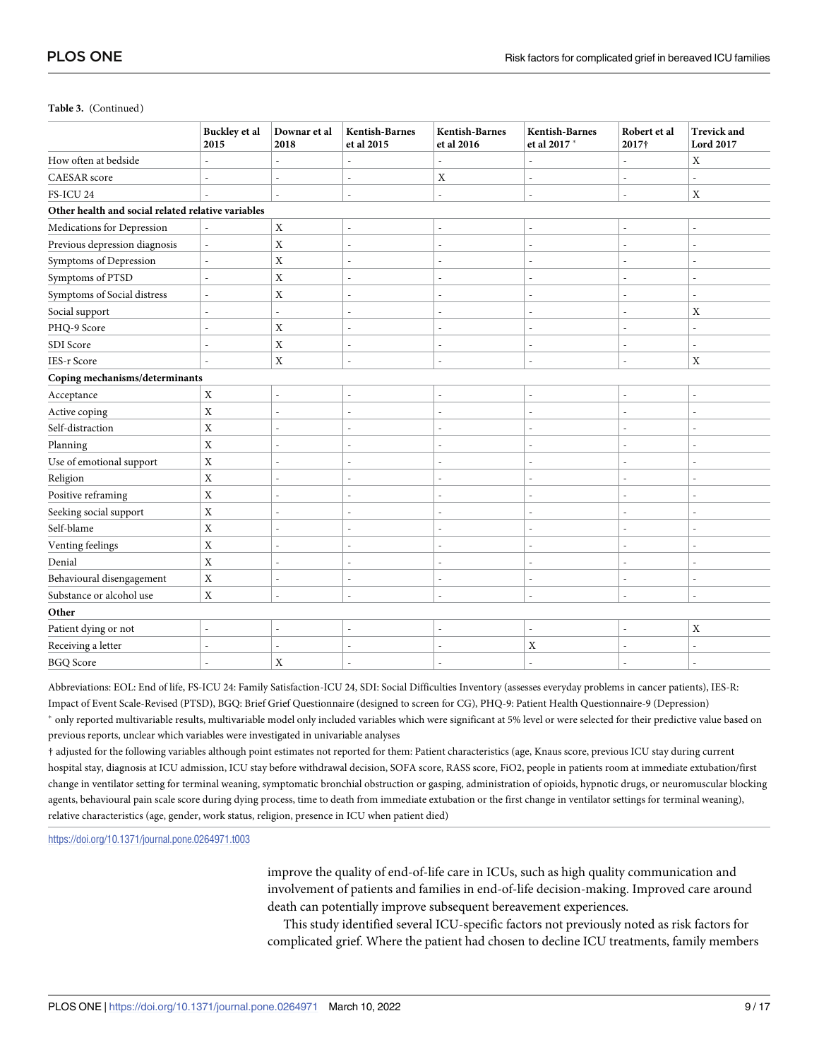#### **Table 3.** (Continued)

|                                                    | <b>Buckley</b> et al<br>2015 | Downar et al<br>2018 | Kentish-Barnes<br>et al 2015 | <b>Kentish-Barnes</b><br>et al 2016 | <b>Kentish-Barnes</b><br>et al 2017 * | Robert et al<br>2017† | <b>Trevick and</b><br><b>Lord 2017</b> |  |  |
|----------------------------------------------------|------------------------------|----------------------|------------------------------|-------------------------------------|---------------------------------------|-----------------------|----------------------------------------|--|--|
| How often at bedside                               | L,                           |                      | $\overline{a}$               |                                     |                                       |                       | X                                      |  |  |
| <b>CAESAR</b> score                                | $\overline{a}$               | ٠                    | $\overline{\phantom{a}}$     | $\mathbf X$                         | $\overline{\phantom{a}}$              | ٠                     | ä,                                     |  |  |
| FS-ICU 24                                          |                              |                      | $\overline{\phantom{a}}$     | L,                                  | $\overline{\phantom{m}}$              | ä,                    | X                                      |  |  |
| Other health and social related relative variables |                              |                      |                              |                                     |                                       |                       |                                        |  |  |
| Medications for Depression                         |                              | $\mathbf X$          | $\overline{\phantom{a}}$     | Ĭ.                                  |                                       | ÷,                    |                                        |  |  |
| Previous depression diagnosis                      |                              | X                    |                              | L,                                  | $\overline{a}$                        |                       |                                        |  |  |
| Symptoms of Depression                             |                              | $\bar{X}$            |                              | $\overline{a}$                      | ٠                                     | ÷,                    |                                        |  |  |
| Symptoms of PTSD                                   | L.                           | $\mathbf X$          | J.                           | L                                   | ÷.                                    | Ĭ.                    |                                        |  |  |
| Symptoms of Social distress                        | $\sim$                       | $\mathbf X$          | ÷.                           | L.                                  | $\sim$                                | $\overline{a}$        | L.                                     |  |  |
| Social support                                     |                              | $\overline{a}$       |                              | ٠                                   | ٠                                     |                       | X                                      |  |  |
| PHQ-9 Score                                        | $\overline{a}$               | $\mathbf X$          | $\sim$                       | L.                                  | ٠                                     | $\overline{a}$        |                                        |  |  |
| SDI Score                                          | ÷,                           | X                    | $\overline{a}$               | Ĭ.                                  | ٠                                     | ÷,                    |                                        |  |  |
| <b>IES-r Score</b>                                 | $\overline{\phantom{a}}$     | $\mathbf X$          | $\sim$                       | L,                                  | $\overline{\phantom{a}}$              | $\sim$                | $\mathbf X$                            |  |  |
| Coping mechanisms/determinants                     |                              |                      |                              |                                     |                                       |                       |                                        |  |  |
| Acceptance                                         | $\mathbf X$                  | $\overline{a}$       | $\overline{a}$               | Ĭ.                                  | $\overline{a}$                        |                       |                                        |  |  |
| Active coping                                      | $\mathbf X$                  | L.                   | $\sim$                       | $\overline{a}$                      | $\overline{\phantom{a}}$              | $\overline{a}$        | L.                                     |  |  |
| Self-distraction                                   | X                            |                      |                              |                                     | ÷.                                    |                       |                                        |  |  |
| Planning                                           | $\mathbf X$                  | L.                   | $\overline{a}$               | J.                                  | $\sim$                                | $\overline{a}$        |                                        |  |  |
| Use of emotional support                           | $\mathbf X$                  | L.                   | $\overline{a}$               | J.                                  | ۰                                     | $\overline{a}$        |                                        |  |  |
| Religion                                           | $\mathbf X$                  | L.                   | $\sim$                       | L.                                  | ٠                                     | $\overline{a}$        | ٠                                      |  |  |
| Positive reframing                                 | $\mathbf X$                  |                      | $\overline{a}$               | J.                                  | ٠                                     | Ĭ.                    |                                        |  |  |
| Seeking social support                             | $\mathbf X$                  | $\overline{a}$       | $\overline{\phantom{a}}$     | $\overline{a}$                      | $\overline{\phantom{a}}$              | ÷,                    |                                        |  |  |
| Self-blame                                         | $\mathbf X$                  | L                    | $\overline{a}$               | Ĭ.                                  | ٠                                     | Ĭ.                    |                                        |  |  |
| Venting feelings                                   | $\mathbf X$                  |                      |                              |                                     |                                       |                       |                                        |  |  |
| Denial                                             | $\mathbf X$                  |                      |                              |                                     | ٠                                     |                       |                                        |  |  |
| Behavioural disengagement                          | $\rm X$                      | $\overline{a}$       | $\overline{a}$               | Ĭ.                                  | ٠                                     |                       |                                        |  |  |
| Substance or alcohol use                           | $\mathbf X$                  | ÷.                   | ÷.                           | L.                                  | $\sim$                                | $\overline{a}$        | L.                                     |  |  |
| Other                                              |                              |                      |                              |                                     |                                       |                       |                                        |  |  |
| Patient dying or not                               | ÷,                           | ÷,                   | $\overline{a}$               | L,                                  | ٠                                     | $\overline{a}$        | X                                      |  |  |
| Receiving a letter                                 |                              |                      | $\overline{a}$               |                                     | X                                     |                       |                                        |  |  |
| <b>BGQ</b> Score                                   | $\overline{a}$               | $\mathbf X$          | $\sim$                       | ÷,                                  | ٠                                     | $\overline{a}$        |                                        |  |  |

Abbreviations: EOL: End of life, FS-ICU 24: Family Satisfaction-ICU 24, SDI: Social Difficulties Inventory (assesses everyday problems in cancer patients), IES-R: Impact of Event Scale-Revised (PTSD), BGQ: Brief Grief Questionnaire (designed to screen for CG), PHQ-9: Patient Health Questionnaire-9 (Depression) � only reported multivariable results, multivariable model only included variables which were significant at 5% level or were selected for their predictive value based on previous reports, unclear which variables were investigated in univariable analyses

† adjusted for the following variables although point estimates not reported for them: Patient characteristics (age, Knaus score, previous ICU stay during current hospital stay, diagnosis at ICU admission, ICU stay before withdrawal decision, SOFA score, RASS score, FiO2, people in patients room at immediate extubation/first change in ventilator setting for terminal weaning, symptomatic bronchial obstruction or gasping, administration of opioids, hypnotic drugs, or neuromuscular blocking agents, behavioural pain scale score during dying process, time to death from immediate extubation or the first change in ventilator settings for terminal weaning), relative characteristics (age, gender, work status, religion, presence in ICU when patient died)

<https://doi.org/10.1371/journal.pone.0264971.t003>

improve the quality of end-of-life care in ICUs, such as high quality communication and involvement of patients and families in end-of-life decision-making. Improved care around death can potentially improve subsequent bereavement experiences.

This study identified several ICU-specific factors not previously noted as risk factors for complicated grief. Where the patient had chosen to decline ICU treatments, family members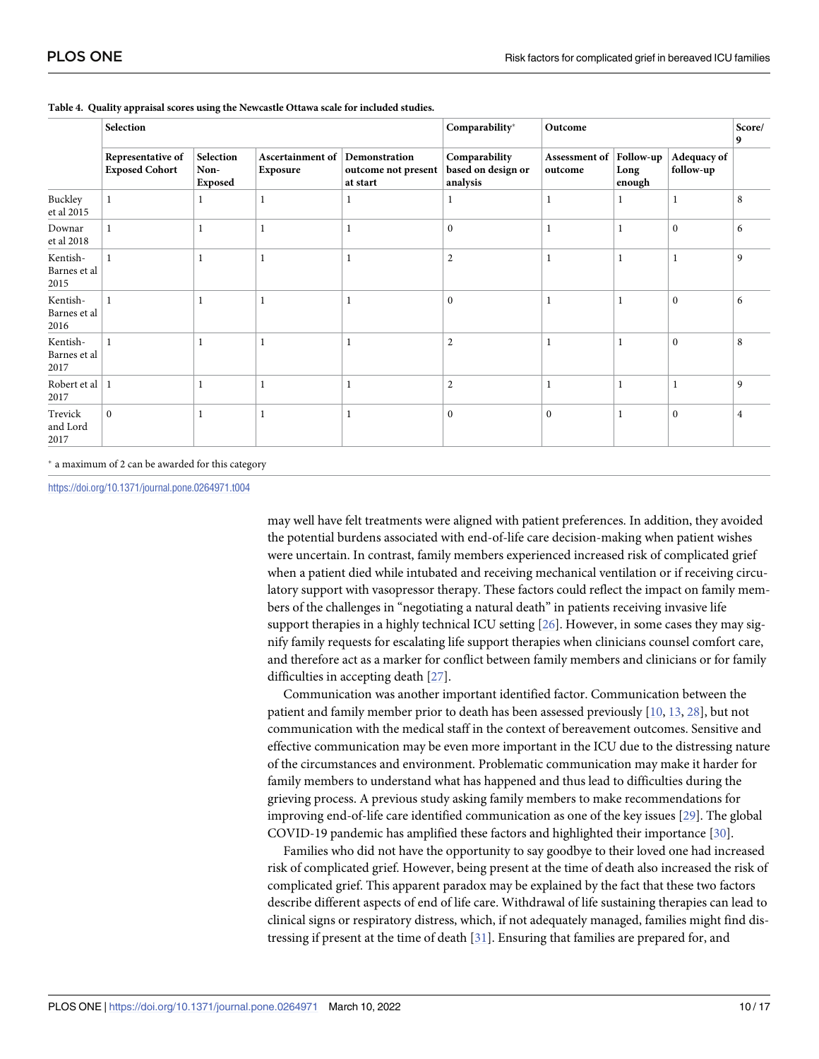|                                  | Selection                                  |                              |                              | Comparability*<br>Outcome                        |                                                 |                          |                             | Score/<br>9              |                |
|----------------------------------|--------------------------------------------|------------------------------|------------------------------|--------------------------------------------------|-------------------------------------------------|--------------------------|-----------------------------|--------------------------|----------------|
|                                  | Representative of<br><b>Exposed Cohort</b> | Selection<br>Non-<br>Exposed | Ascertainment of<br>Exposure | Demonstration<br>outcome not present<br>at start | Comparability<br>based on design or<br>analysis | Assessment of<br>outcome | Follow-up<br>Long<br>enough | Adequacy of<br>follow-up |                |
| Buckley<br>et al 2015            |                                            | 1                            |                              |                                                  | 1                                               |                          |                             | $\mathbf{1}$             | 8              |
| Downar<br>et al 2018             |                                            | 1                            |                              |                                                  | $\mathbf{0}$                                    |                          |                             | $\mathbf{0}$             | 6              |
| Kentish-<br>Barnes et al<br>2015 |                                            | 1                            | 1                            | -1                                               | $\overline{2}$                                  |                          | -1                          | $\mathbf{1}$             | 9              |
| Kentish-<br>Barnes et al<br>2016 |                                            |                              |                              |                                                  | $\mathbf{0}$                                    |                          |                             | $\mathbf{0}$             | 6              |
| Kentish-<br>Barnes et al<br>2017 |                                            | 1                            |                              |                                                  | $\overline{2}$                                  |                          |                             | $\theta$                 | 8              |
| Robert et al<br>2017             |                                            | 1                            |                              |                                                  | $\overline{2}$                                  |                          |                             | $\mathbf{1}$             | 9              |
| Trevick<br>and Lord<br>2017      | $\mathbf{0}$                               |                              |                              |                                                  | $\mathbf{0}$                                    | $\Omega$                 |                             | $\theta$                 | $\overline{4}$ |

#### <span id="page-9-0"></span>**[Table](#page-3-0) 4. Quality appraisal scores using the Newcastle Ottawa scale for included studies.**

� a maximum of 2 can be awarded for this category

<https://doi.org/10.1371/journal.pone.0264971.t004>

may well have felt treatments were aligned with patient preferences. In addition, they avoided the potential burdens associated with end-of-life care decision-making when patient wishes were uncertain. In contrast, family members experienced increased risk of complicated grief when a patient died while intubated and receiving mechanical ventilation or if receiving circulatory support with vasopressor therapy. These factors could reflect the impact on family members of the challenges in "negotiating a natural death" in patients receiving invasive life support therapies in a highly technical ICU setting  $[26]$  $[26]$  $[26]$ . However, in some cases they may signify family requests for escalating life support therapies when clinicians counsel comfort care, and therefore act as a marker for conflict between family members and clinicians or for family difficulties in accepting death [\[27\]](#page-15-0).

Communication was another important identified factor. Communication between the patient and family member prior to death has been assessed previously [[10](#page-14-0), [13](#page-14-0), [28](#page-15-0)], but not communication with the medical staff in the context of bereavement outcomes. Sensitive and effective communication may be even more important in the ICU due to the distressing nature of the circumstances and environment. Problematic communication may make it harder for family members to understand what has happened and thus lead to difficulties during the grieving process. A previous study asking family members to make recommendations for improving end-of-life care identified communication as one of the key issues [[29](#page-15-0)]. The global COVID-19 pandemic has amplified these factors and highlighted their importance [[30](#page-15-0)].

Families who did not have the opportunity to say goodbye to their loved one had increased risk of complicated grief. However, being present at the time of death also increased the risk of complicated grief. This apparent paradox may be explained by the fact that these two factors describe different aspects of end of life care. Withdrawal of life sustaining therapies can lead to clinical signs or respiratory distress, which, if not adequately managed, families might find distressing if present at the time of death [[31](#page-15-0)]. Ensuring that families are prepared for, and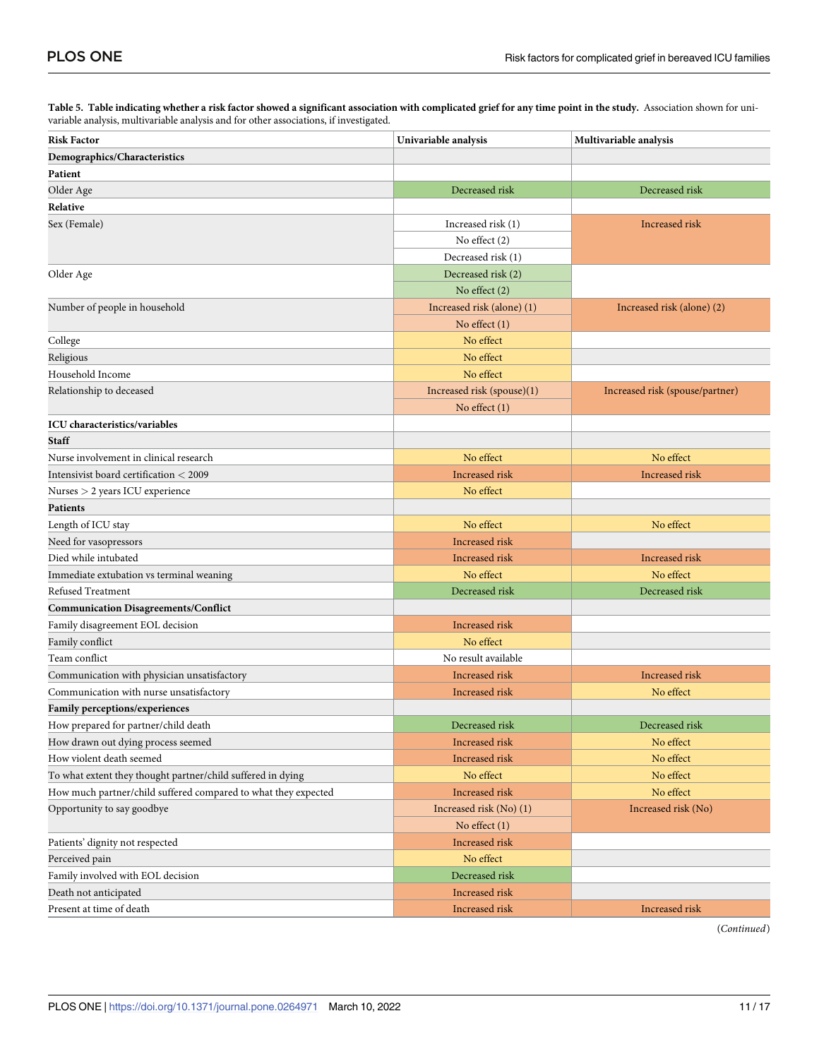<span id="page-10-0"></span>[Table](#page-3-0) 5. Table indicating whether a risk factor showed a significant association with complicated grief for any time point in the study. Association shown for univariable analysis, multivariable analysis and for other associations, if investigated.

| <b>Risk Factor</b>                                             | Univariable analysis       | Multivariable analysis          |  |  |
|----------------------------------------------------------------|----------------------------|---------------------------------|--|--|
| Demographics/Characteristics                                   |                            |                                 |  |  |
| Patient                                                        |                            |                                 |  |  |
| Older Age                                                      | Decreased risk             | Decreased risk                  |  |  |
| Relative                                                       |                            |                                 |  |  |
| Sex (Female)                                                   | Increased risk (1)         | Increased risk                  |  |  |
|                                                                | No effect (2)              |                                 |  |  |
|                                                                | Decreased risk (1)         |                                 |  |  |
| Older Age                                                      | Decreased risk (2)         |                                 |  |  |
|                                                                | No effect $(2)$            |                                 |  |  |
| Number of people in household                                  | Increased risk (alone) (1) | Increased risk (alone) (2)      |  |  |
|                                                                | No effect $(1)$            |                                 |  |  |
| College                                                        | No effect                  |                                 |  |  |
| Religious                                                      | No effect                  |                                 |  |  |
| Household Income                                               | No effect                  |                                 |  |  |
| Relationship to deceased                                       | Increased risk (spouse)(1) | Increased risk (spouse/partner) |  |  |
|                                                                | No effect $(1)$            |                                 |  |  |
| <b>ICU</b> characteristics/variables                           |                            |                                 |  |  |
| <b>Staff</b>                                                   |                            |                                 |  |  |
| Nurse involvement in clinical research                         | No effect                  | No effect                       |  |  |
| Intensivist board certification < 2009                         | Increased risk             | Increased risk                  |  |  |
| Nurses > 2 years ICU experience                                | No effect                  |                                 |  |  |
| Patients                                                       |                            |                                 |  |  |
| Length of ICU stay                                             | No effect                  | No effect                       |  |  |
| Need for vasopressors                                          | Increased risk             |                                 |  |  |
| Died while intubated                                           | Increased risk             | <b>Increased risk</b>           |  |  |
| Immediate extubation vs terminal weaning                       | No effect                  | No effect                       |  |  |
| Refused Treatment                                              | Decreased risk             | Decreased risk                  |  |  |
| <b>Communication Disagreements/Conflict</b>                    |                            |                                 |  |  |
| Family disagreement EOL decision                               | Increased risk             |                                 |  |  |
| Family conflict                                                | No effect                  |                                 |  |  |
| Team conflict                                                  | No result available        |                                 |  |  |
| Communication with physician unsatisfactory                    | Increased risk             | Increased risk                  |  |  |
| Communication with nurse unsatisfactory                        | <b>Increased</b> risk      | No effect                       |  |  |
| Family perceptions/experiences                                 |                            |                                 |  |  |
| How prepared for partner/child death                           | Decreased risk             | Decreased risk                  |  |  |
| How drawn out dying process seemed                             | Increased risk             | No effect                       |  |  |
| How violent death seemed                                       | Increased risk             | No effect                       |  |  |
| To what extent they thought partner/child suffered in dying    | No effect                  | No effect                       |  |  |
| How much partner/child suffered compared to what they expected | Increased risk             | No effect                       |  |  |
| Opportunity to say goodbye                                     | Increased risk (No) (1)    | Increased risk (No)             |  |  |
|                                                                | No effect $(1)$            |                                 |  |  |
| Patients' dignity not respected                                | Increased risk             |                                 |  |  |
| Perceived pain                                                 | No effect                  |                                 |  |  |
| Family involved with EOL decision                              | Decreased risk             |                                 |  |  |
| Death not anticipated                                          | Increased risk             |                                 |  |  |
| Present at time of death                                       | Increased risk             | Increased risk                  |  |  |

(*Continued*)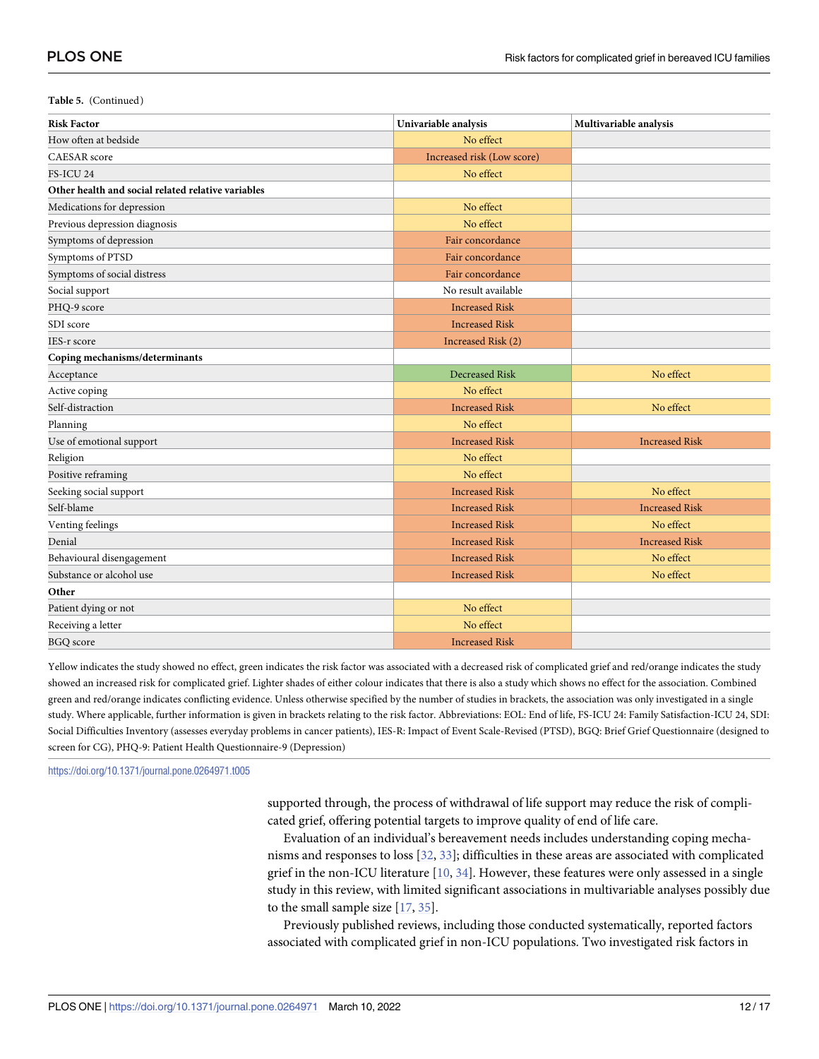#### <span id="page-11-0"></span>**Table 5.** (Continued)

| <b>Risk Factor</b>                                 | Univariable analysis       | Multivariable analysis |
|----------------------------------------------------|----------------------------|------------------------|
| How often at bedside                               | No effect                  |                        |
| <b>CAESAR</b> score                                | Increased risk (Low score) |                        |
| FS-ICU 24                                          | No effect                  |                        |
| Other health and social related relative variables |                            |                        |
| Medications for depression                         | No effect                  |                        |
| Previous depression diagnosis                      | No effect                  |                        |
| Symptoms of depression                             | Fair concordance           |                        |
| Symptoms of PTSD                                   | Fair concordance           |                        |
| Symptoms of social distress                        | Fair concordance           |                        |
| Social support                                     | No result available        |                        |
| PHQ-9 score                                        | <b>Increased Risk</b>      |                        |
| SDI score                                          | <b>Increased Risk</b>      |                        |
| IES-r score                                        | Increased Risk (2)         |                        |
| Coping mechanisms/determinants                     |                            |                        |
| Acceptance                                         | <b>Decreased Risk</b>      | No effect              |
| Active coping                                      | No effect                  |                        |
| Self-distraction                                   | <b>Increased Risk</b>      | No effect              |
| Planning                                           | No effect                  |                        |
| Use of emotional support                           | <b>Increased Risk</b>      | <b>Increased Risk</b>  |
| Religion                                           | No effect                  |                        |
| Positive reframing                                 | No effect                  |                        |
| Seeking social support                             | <b>Increased Risk</b>      | No effect              |
| Self-blame                                         | <b>Increased Risk</b>      | <b>Increased Risk</b>  |
| Venting feelings                                   | <b>Increased Risk</b>      | No effect              |
| Denial                                             | <b>Increased Risk</b>      | <b>Increased Risk</b>  |
| Behavioural disengagement                          | <b>Increased Risk</b>      | No effect              |
| Substance or alcohol use                           | <b>Increased Risk</b>      | No effect              |
| Other                                              |                            |                        |
| Patient dying or not                               | No effect                  |                        |
| Receiving a letter                                 | No effect                  |                        |
| <b>BGQ</b> score                                   | <b>Increased Risk</b>      |                        |

Yellow indicates the study showed no effect, green indicates the risk factor was associated with a decreased risk of complicated grief and red/orange indicates the study showed an increased risk for complicated grief. Lighter shades of either colour indicates that there is also a study which shows no effect for the association. Combined green and red/orange indicates conflicting evidence. Unless otherwise specified by the number of studies in brackets, the association was only investigated in a single study. Where applicable, further information is given in brackets relating to the risk factor. Abbreviations: EOL: End of life, FS-ICU 24: Family Satisfaction-ICU 24, SDI: Social Difficulties Inventory (assesses everyday problems in cancer patients), IES-R: Impact of Event Scale-Revised (PTSD), BGQ: Brief Grief Questionnaire (designed to screen for CG), PHQ-9: Patient Health Questionnaire-9 (Depression)

<https://doi.org/10.1371/journal.pone.0264971.t005>

supported through, the process of withdrawal of life support may reduce the risk of complicated grief, offering potential targets to improve quality of end of life care.

Evaluation of an individual's bereavement needs includes understanding coping mechanisms and responses to loss [[32](#page-15-0), [33](#page-15-0)]; difficulties in these areas are associated with complicated grief in the non-ICU literature [[10](#page-14-0), [34](#page-15-0)]. However, these features were only assessed in a single study in this review, with limited significant associations in multivariable analyses possibly due to the small sample size [[17](#page-14-0), [35](#page-15-0)].

Previously published reviews, including those conducted systematically, reported factors associated with complicated grief in non-ICU populations. Two investigated risk factors in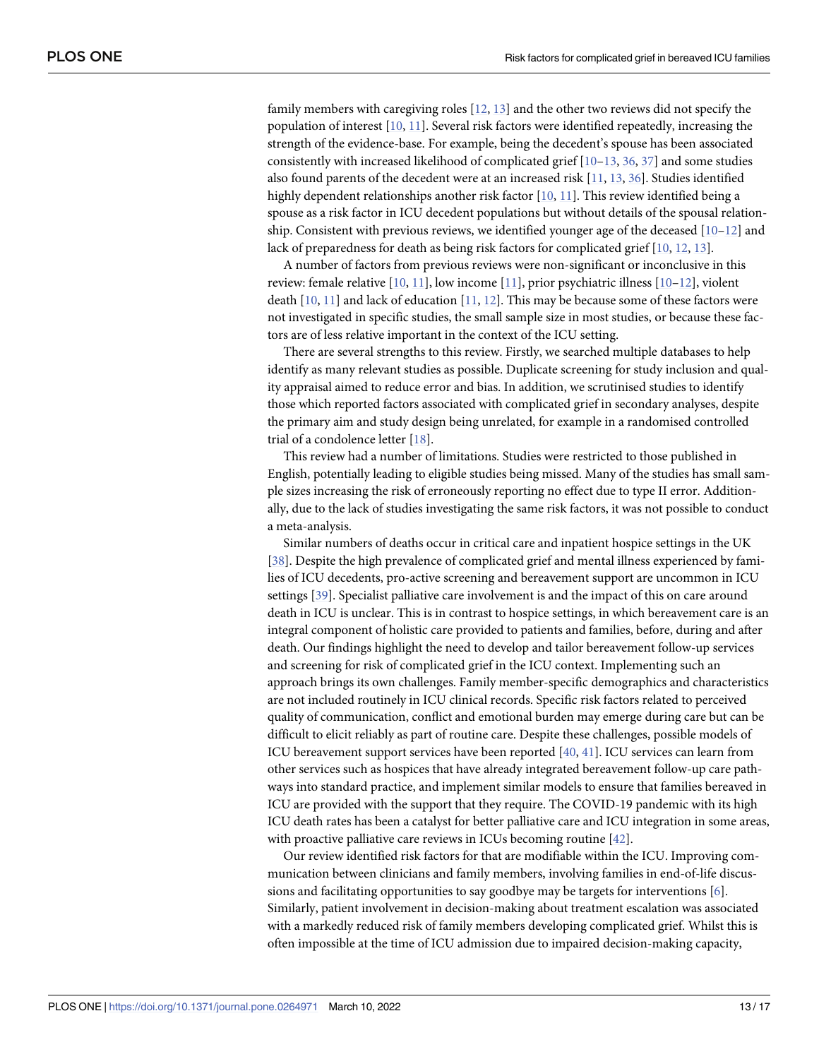<span id="page-12-0"></span>family members with caregiving roles [[12](#page-14-0), [13](#page-14-0)] and the other two reviews did not specify the population of interest [[10](#page-14-0), [11](#page-14-0)]. Several risk factors were identified repeatedly, increasing the strength of the evidence-base. For example, being the decedent's spouse has been associated consistently with increased likelihood of complicated grief [[10](#page-14-0)–[13](#page-14-0), [36](#page-15-0), [37](#page-15-0)] and some studies also found parents of the decedent were at an increased risk [\[11](#page-14-0), [13](#page-14-0), [36](#page-15-0)]. Studies identified highly dependent relationships another risk factor [\[10,](#page-14-0) [11\]](#page-14-0). This review identified being a spouse as a risk factor in ICU decedent populations but without details of the spousal relationship. Consistent with previous reviews, we identified younger age of the deceased  $[10-12]$  and lack of preparedness for death as being risk factors for complicated grief [[10](#page-14-0), [12](#page-14-0), [13](#page-14-0)].

A number of factors from previous reviews were non-significant or inconclusive in this review: female relative [\[10,](#page-14-0) [11\]](#page-14-0), low income [\[11\]](#page-14-0), prior psychiatric illness [\[10–12](#page-14-0)], violent death  $[10, 11]$  $[10, 11]$  $[10, 11]$  $[10, 11]$  $[10, 11]$  and lack of education  $[11, 12]$  $[11, 12]$  $[11, 12]$ . This may be because some of these factors were not investigated in specific studies, the small sample size in most studies, or because these factors are of less relative important in the context of the ICU setting.

There are several strengths to this review. Firstly, we searched multiple databases to help identify as many relevant studies as possible. Duplicate screening for study inclusion and quality appraisal aimed to reduce error and bias. In addition, we scrutinised studies to identify those which reported factors associated with complicated grief in secondary analyses, despite the primary aim and study design being unrelated, for example in a randomised controlled trial of a condolence letter [\[18\]](#page-15-0).

This review had a number of limitations. Studies were restricted to those published in English, potentially leading to eligible studies being missed. Many of the studies has small sample sizes increasing the risk of erroneously reporting no effect due to type II error. Additionally, due to the lack of studies investigating the same risk factors, it was not possible to conduct a meta-analysis.

Similar numbers of deaths occur in critical care and inpatient hospice settings in the UK [\[38\]](#page-15-0). Despite the high prevalence of complicated grief and mental illness experienced by families of ICU decedents, pro-active screening and bereavement support are uncommon in ICU settings [[39](#page-16-0)]. Specialist palliative care involvement is and the impact of this on care around death in ICU is unclear. This is in contrast to hospice settings, in which bereavement care is an integral component of holistic care provided to patients and families, before, during and after death. Our findings highlight the need to develop and tailor bereavement follow-up services and screening for risk of complicated grief in the ICU context. Implementing such an approach brings its own challenges. Family member-specific demographics and characteristics are not included routinely in ICU clinical records. Specific risk factors related to perceived quality of communication, conflict and emotional burden may emerge during care but can be difficult to elicit reliably as part of routine care. Despite these challenges, possible models of ICU bereavement support services have been reported [\[40,](#page-16-0) [41\]](#page-16-0). ICU services can learn from other services such as hospices that have already integrated bereavement follow-up care pathways into standard practice, and implement similar models to ensure that families bereaved in ICU are provided with the support that they require. The COVID-19 pandemic with its high ICU death rates has been a catalyst for better palliative care and ICU integration in some areas, with proactive palliative care reviews in ICUs becoming routine [\[42\]](#page-16-0).

Our review identified risk factors for that are modifiable within the ICU. Improving communication between clinicians and family members, involving families in end-of-life discussions and facilitating opportunities to say goodbye may be targets for interventions [\[6\]](#page-14-0). Similarly, patient involvement in decision-making about treatment escalation was associated with a markedly reduced risk of family members developing complicated grief. Whilst this is often impossible at the time of ICU admission due to impaired decision-making capacity,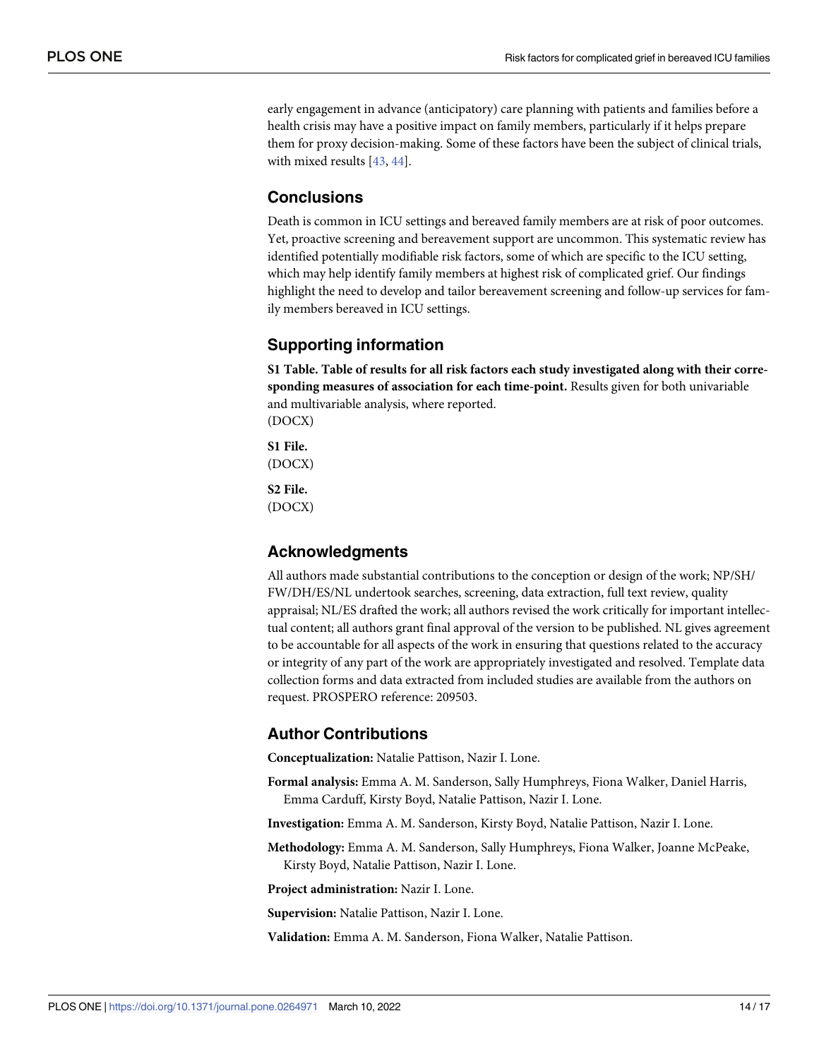<span id="page-13-0"></span>early engagement in advance (anticipatory) care planning with patients and families before a health crisis may have a positive impact on family members, particularly if it helps prepare them for proxy decision-making. Some of these factors have been the subject of clinical trials, with mixed results [[43](#page-16-0), [44](#page-16-0)].

#### **Conclusions**

Death is common in ICU settings and bereaved family members are at risk of poor outcomes. Yet, proactive screening and bereavement support are uncommon. This systematic review has identified potentially modifiable risk factors, some of which are specific to the ICU setting, which may help identify family members at highest risk of complicated grief. Our findings highlight the need to develop and tailor bereavement screening and follow-up services for family members bereaved in ICU settings.

#### **Supporting information**

**S1 [Table.](http://www.plosone.org/article/fetchSingleRepresentation.action?uri=info:doi/10.1371/journal.pone.0264971.s001) Table of results for all risk factors each study investigated along with their corresponding measures of association for each time-point.** Results given for both univariable and multivariable analysis, where reported. (DOCX)

**S1 [File.](http://www.plosone.org/article/fetchSingleRepresentation.action?uri=info:doi/10.1371/journal.pone.0264971.s002)** (DOCX)

**S2 [File.](http://www.plosone.org/article/fetchSingleRepresentation.action?uri=info:doi/10.1371/journal.pone.0264971.s003)** (DOCX)

#### **Acknowledgments**

All authors made substantial contributions to the conception or design of the work; NP/SH/ FW/DH/ES/NL undertook searches, screening, data extraction, full text review, quality appraisal; NL/ES drafted the work; all authors revised the work critically for important intellectual content; all authors grant final approval of the version to be published. NL gives agreement to be accountable for all aspects of the work in ensuring that questions related to the accuracy or integrity of any part of the work are appropriately investigated and resolved. Template data collection forms and data extracted from included studies are available from the authors on request. PROSPERO reference: 209503.

#### **Author Contributions**

**Conceptualization:** Natalie Pattison, Nazir I. Lone.

- **Formal analysis:** Emma A. M. Sanderson, Sally Humphreys, Fiona Walker, Daniel Harris, Emma Carduff, Kirsty Boyd, Natalie Pattison, Nazir I. Lone.
- **Investigation:** Emma A. M. Sanderson, Kirsty Boyd, Natalie Pattison, Nazir I. Lone.

**Methodology:** Emma A. M. Sanderson, Sally Humphreys, Fiona Walker, Joanne McPeake, Kirsty Boyd, Natalie Pattison, Nazir I. Lone.

**Project administration:** Nazir I. Lone.

**Supervision:** Natalie Pattison, Nazir I. Lone.

**Validation:** Emma A. M. Sanderson, Fiona Walker, Natalie Pattison.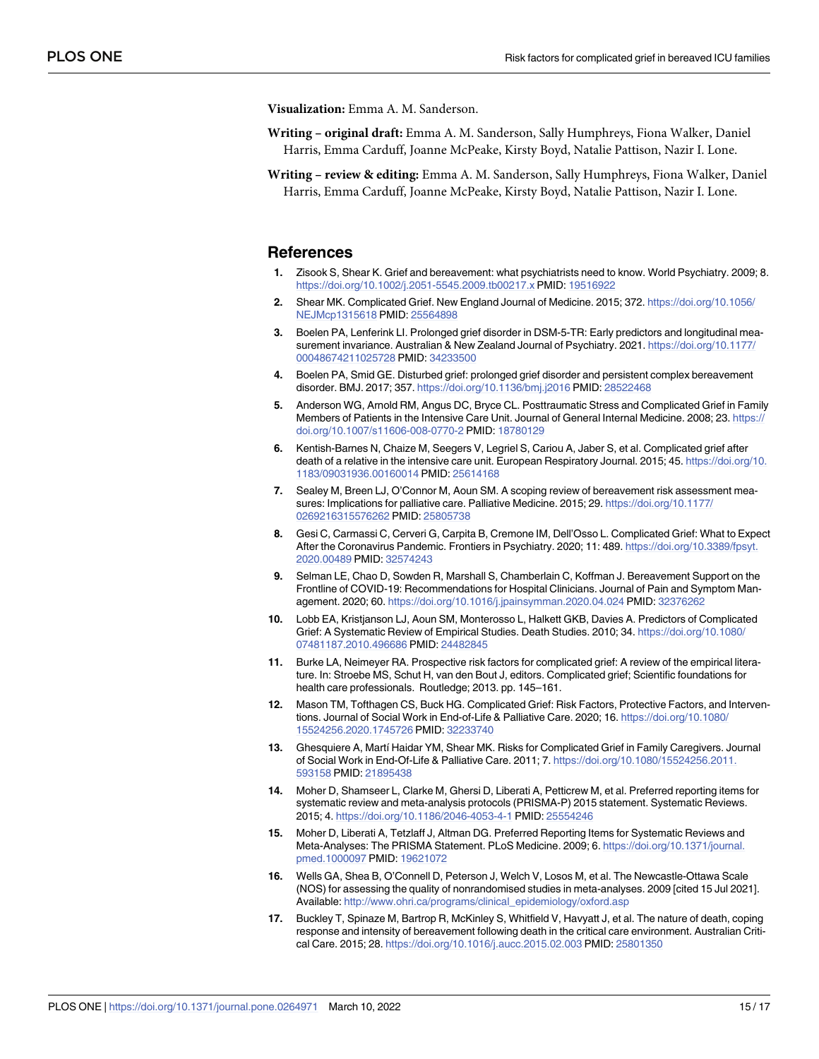<span id="page-14-0"></span>**Visualization:** Emma A. M. Sanderson.

- **Writing – original draft:** Emma A. M. Sanderson, Sally Humphreys, Fiona Walker, Daniel Harris, Emma Carduff, Joanne McPeake, Kirsty Boyd, Natalie Pattison, Nazir I. Lone.
- **Writing – review & editing:** Emma A. M. Sanderson, Sally Humphreys, Fiona Walker, Daniel Harris, Emma Carduff, Joanne McPeake, Kirsty Boyd, Natalie Pattison, Nazir I. Lone.

#### **References**

- **[1](#page-1-0).** Zisook S, Shear K. Grief and bereavement: what psychiatrists need to know. World Psychiatry. 2009; 8. <https://doi.org/10.1002/j.2051-5545.2009.tb00217.x> PMID: [19516922](http://www.ncbi.nlm.nih.gov/pubmed/19516922)
- **[2](#page-1-0).** Shear MK. Complicated Grief. New England Journal of Medicine. 2015; 372. [https://doi.org/10.1056/](https://doi.org/10.1056/NEJMcp1315618) [NEJMcp1315618](https://doi.org/10.1056/NEJMcp1315618) PMID: [25564898](http://www.ncbi.nlm.nih.gov/pubmed/25564898)
- **[3](#page-1-0).** Boelen PA, Lenferink LI. Prolonged grief disorder in DSM-5-TR: Early predictors and longitudinal measurement invariance. Australian & New Zealand Journal of Psychiatry. 2021. [https://doi.org/10.1177/](https://doi.org/10.1177/00048674211025728) [00048674211025728](https://doi.org/10.1177/00048674211025728) PMID: [34233500](http://www.ncbi.nlm.nih.gov/pubmed/34233500)
- **[4](#page-1-0).** Boelen PA, Smid GE. Disturbed grief: prolonged grief disorder and persistent complex bereavement disorder. BMJ. 2017; 357. <https://doi.org/10.1136/bmj.j2016> PMID: [28522468](http://www.ncbi.nlm.nih.gov/pubmed/28522468)
- **[5](#page-1-0).** Anderson WG, Arnold RM, Angus DC, Bryce CL. Posttraumatic Stress and Complicated Grief in Family Members of Patients in the Intensive Care Unit. Journal of General Internal Medicine. 2008; 23. [https://](https://doi.org/10.1007/s11606-008-0770-2) [doi.org/10.1007/s11606-008-0770-2](https://doi.org/10.1007/s11606-008-0770-2) PMID: [18780129](http://www.ncbi.nlm.nih.gov/pubmed/18780129)
- **[6](#page-4-0).** Kentish-Barnes N, Chaize M, Seegers V, Legriel S, Cariou A, Jaber S, et al. Complicated grief after death of a relative in the intensive care unit. European Respiratory Journal. 2015; 45. [https://doi.org/10.](https://doi.org/10.1183/09031936.00160014) [1183/09031936.00160014](https://doi.org/10.1183/09031936.00160014) PMID: [25614168](http://www.ncbi.nlm.nih.gov/pubmed/25614168)
- **[7](#page-1-0).** Sealey M, Breen LJ, O'Connor M, Aoun SM. A scoping review of bereavement risk assessment measures: Implications for palliative care. Palliative Medicine. 2015; 29. [https://doi.org/10.1177/](https://doi.org/10.1177/0269216315576262) [0269216315576262](https://doi.org/10.1177/0269216315576262) PMID: [25805738](http://www.ncbi.nlm.nih.gov/pubmed/25805738)
- **[8](#page-1-0).** Gesi C, Carmassi C, Cerveri G, Carpita B, Cremone IM, Dell'Osso L. Complicated Grief: What to Expect After the Coronavirus Pandemic. Frontiers in Psychiatry. 2020; 11: 489. [https://doi.org/10.3389/fpsyt.](https://doi.org/10.3389/fpsyt.2020.00489) [2020.00489](https://doi.org/10.3389/fpsyt.2020.00489) PMID: [32574243](http://www.ncbi.nlm.nih.gov/pubmed/32574243)
- **[9](#page-1-0).** Selman LE, Chao D, Sowden R, Marshall S, Chamberlain C, Koffman J. Bereavement Support on the Frontline of COVID-19: Recommendations for Hospital Clinicians. Journal of Pain and Symptom Management. 2020; 60. <https://doi.org/10.1016/j.jpainsymman.2020.04.024> PMID: [32376262](http://www.ncbi.nlm.nih.gov/pubmed/32376262)
- **[10](#page-11-0).** Lobb EA, Kristjanson LJ, Aoun SM, Monterosso L, Halkett GKB, Davies A. Predictors of Complicated Grief: A Systematic Review of Empirical Studies. Death Studies. 2010; 34. [https://doi.org/10.1080/](https://doi.org/10.1080/07481187.2010.496686) [07481187.2010.496686](https://doi.org/10.1080/07481187.2010.496686) PMID: [24482845](http://www.ncbi.nlm.nih.gov/pubmed/24482845)
- **[11](#page-12-0).** Burke LA, Neimeyer RA. Prospective risk factors for complicated grief: A review of the empirical literature. In: Stroebe MS, Schut H, van den Bout J, editors. Complicated grief; Scientific foundations for health care professionals. Routledge; 2013. pp. 145–161.
- **[12](#page-1-0).** Mason TM, Tofthagen CS, Buck HG. Complicated Grief: Risk Factors, Protective Factors, and Interventions. Journal of Social Work in End-of-Life & Palliative Care. 2020; 16. [https://doi.org/10.1080/](https://doi.org/10.1080/15524256.2020.1745726) [15524256.2020.1745726](https://doi.org/10.1080/15524256.2020.1745726) PMID: [32233740](http://www.ncbi.nlm.nih.gov/pubmed/32233740)
- **[13](#page-9-0).** Ghesquiere A, Martí Haidar YM, Shear MK. Risks for Complicated Grief in Family Caregivers. Journal of Social Work in End-Of-Life & Palliative Care. 2011; 7. [https://doi.org/10.1080/15524256.2011.](https://doi.org/10.1080/15524256.2011.593158) [593158](https://doi.org/10.1080/15524256.2011.593158) PMID: [21895438](http://www.ncbi.nlm.nih.gov/pubmed/21895438)
- **[14](#page-1-0).** Moher D, Shamseer L, Clarke M, Ghersi D, Liberati A, Petticrew M, et al. Preferred reporting items for systematic review and meta-analysis protocols (PRISMA-P) 2015 statement. Systematic Reviews. 2015; 4. <https://doi.org/10.1186/2046-4053-4-1> PMID: [25554246](http://www.ncbi.nlm.nih.gov/pubmed/25554246)
- **[15](#page-1-0).** Moher D, Liberati A, Tetzlaff J, Altman DG. Preferred Reporting Items for Systematic Reviews and Meta-Analyses: The PRISMA Statement. PLoS Medicine. 2009; 6. [https://doi.org/10.1371/journal.](https://doi.org/10.1371/journal.pmed.1000097) [pmed.1000097](https://doi.org/10.1371/journal.pmed.1000097) PMID: [19621072](http://www.ncbi.nlm.nih.gov/pubmed/19621072)
- **[16](#page-2-0).** Wells GA, Shea B, O'Connell D, Peterson J, Welch V, Losos M, et al. The Newcastle-Ottawa Scale (NOS) for assessing the quality of nonrandomised studies in meta-analyses. 2009 [cited 15 Jul 2021]. Available: [http://www.ohri.ca/programs/clinical\\_epidemiology/oxford.asp](http://www.ohri.ca/programs/clinical_epidemiology/oxford.asp)
- **[17](#page-2-0).** Buckley T, Spinaze M, Bartrop R, McKinley S, Whitfield V, Havyatt J, et al. The nature of death, coping response and intensity of bereavement following death in the critical care environment. Australian Critical Care. 2015; 28. <https://doi.org/10.1016/j.aucc.2015.02.003> PMID: [25801350](http://www.ncbi.nlm.nih.gov/pubmed/25801350)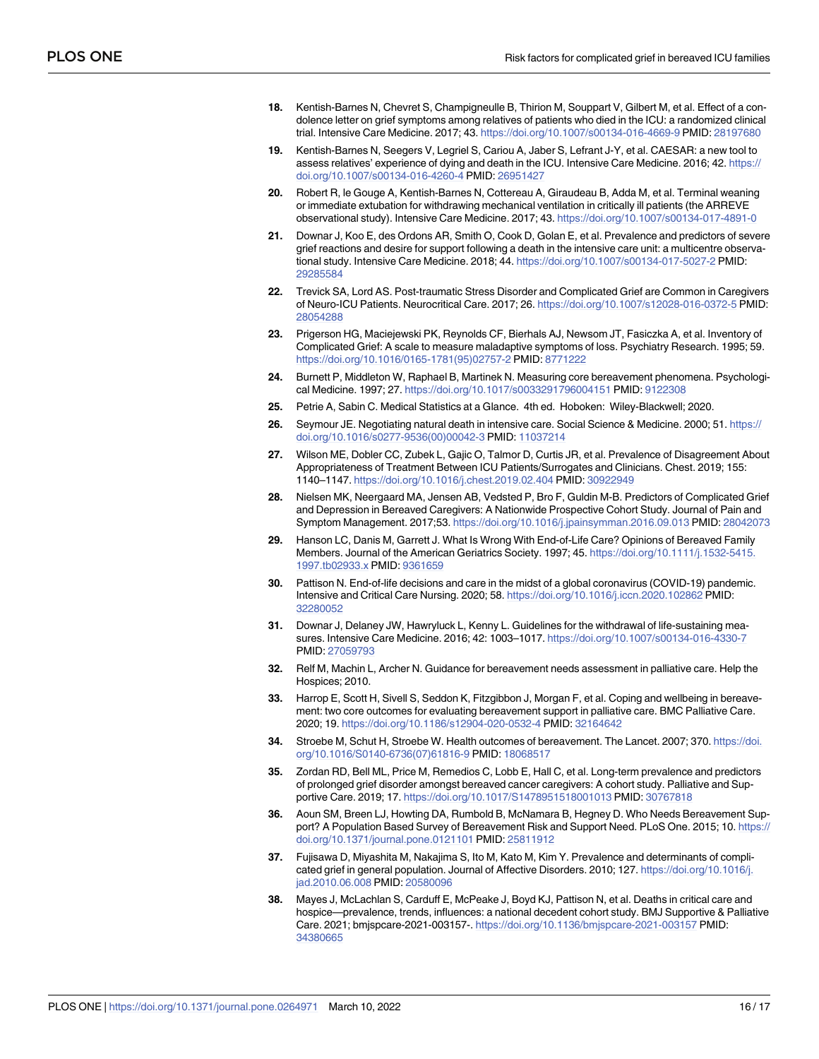- <span id="page-15-0"></span>**[18](#page-2-0).** Kentish-Barnes N, Chevret S, Champigneulle B, Thirion M, Souppart V, Gilbert M, et al. Effect of a condolence letter on grief symptoms among relatives of patients who died in the ICU: a randomized clinical trial. Intensive Care Medicine. 2017; 43. <https://doi.org/10.1007/s00134-016-4669-9> PMID: [28197680](http://www.ncbi.nlm.nih.gov/pubmed/28197680)
- **19.** Kentish-Barnes N, Seegers V, Legriel S, Cariou A, Jaber S, Lefrant J-Y, et al. CAESAR: a new tool to assess relatives' experience of dying and death in the ICU. Intensive Care Medicine. 2016; 42. [https://](https://doi.org/10.1007/s00134-016-4260-4) [doi.org/10.1007/s00134-016-4260-4](https://doi.org/10.1007/s00134-016-4260-4) PMID: [26951427](http://www.ncbi.nlm.nih.gov/pubmed/26951427)
- **[20](#page-5-0).** Robert R, le Gouge A, Kentish-Barnes N, Cottereau A, Giraudeau B, Adda M, et al. Terminal weaning or immediate extubation for withdrawing mechanical ventilation in critically ill patients (the ARREVE observational study). Intensive Care Medicine. 2017; 43. <https://doi.org/10.1007/s00134-017-4891-0>
- **[21](#page-4-0).** Downar J, Koo E, des Ordons AR, Smith O, Cook D, Golan E, et al. Prevalence and predictors of severe grief reactions and desire for support following a death in the intensive care unit: a multicentre observational study. Intensive Care Medicine. 2018; 44. <https://doi.org/10.1007/s00134-017-5027-2> PMID: [29285584](http://www.ncbi.nlm.nih.gov/pubmed/29285584)
- **[22](#page-2-0).** Trevick SA, Lord AS. Post-traumatic Stress Disorder and Complicated Grief are Common in Caregivers of Neuro-ICU Patients. Neurocritical Care. 2017; 26. <https://doi.org/10.1007/s12028-016-0372-5> PMID: [28054288](http://www.ncbi.nlm.nih.gov/pubmed/28054288)
- **[23](#page-3-0).** Prigerson HG, Maciejewski PK, Reynolds CF, Bierhals AJ, Newsom JT, Fasiczka A, et al. Inventory of Complicated Grief: A scale to measure maladaptive symptoms of loss. Psychiatry Research. 1995; 59. [https://doi.org/10.1016/0165-1781\(95\)02757-2](https://doi.org/10.1016/0165-1781%2895%2902757-2) PMID: [8771222](http://www.ncbi.nlm.nih.gov/pubmed/8771222)
- **[24](#page-3-0).** Burnett P, Middleton W, Raphael B, Martinek N. Measuring core bereavement phenomena. Psychological Medicine. 1997; 27. <https://doi.org/10.1017/s0033291796004151> PMID: [9122308](http://www.ncbi.nlm.nih.gov/pubmed/9122308)
- **[25](#page-6-0).** Petrie A, Sabin C. Medical Statistics at a Glance. 4th ed. Hoboken: Wiley-Blackwell; 2020.
- **[26](#page-9-0).** Seymour JE. Negotiating natural death in intensive care. Social Science & Medicine. 2000; 51. [https://](https://doi.org/10.1016/s0277-9536%2800%2900042-3) [doi.org/10.1016/s0277-9536\(00\)00042-3](https://doi.org/10.1016/s0277-9536%2800%2900042-3) PMID: [11037214](http://www.ncbi.nlm.nih.gov/pubmed/11037214)
- **[27](#page-9-0).** Wilson ME, Dobler CC, Zubek L, Gajic O, Talmor D, Curtis JR, et al. Prevalence of Disagreement About Appropriateness of Treatment Between ICU Patients/Surrogates and Clinicians. Chest. 2019; 155: 1140–1147. <https://doi.org/10.1016/j.chest.2019.02.404> PMID: [30922949](http://www.ncbi.nlm.nih.gov/pubmed/30922949)
- **[28](#page-9-0).** Nielsen MK, Neergaard MA, Jensen AB, Vedsted P, Bro F, Guldin M-B. Predictors of Complicated Grief and Depression in Bereaved Caregivers: A Nationwide Prospective Cohort Study. Journal of Pain and Symptom Management. 2017;53. <https://doi.org/10.1016/j.jpainsymman.2016.09.013> PMID: [28042073](http://www.ncbi.nlm.nih.gov/pubmed/28042073)
- **[29](#page-9-0).** Hanson LC, Danis M, Garrett J. What Is Wrong With End-of-Life Care? Opinions of Bereaved Family Members. Journal of the American Geriatrics Society. 1997; 45. [https://doi.org/10.1111/j.1532-5415.](https://doi.org/10.1111/j.1532-5415.1997.tb02933.x) [1997.tb02933.x](https://doi.org/10.1111/j.1532-5415.1997.tb02933.x) PMID: [9361659](http://www.ncbi.nlm.nih.gov/pubmed/9361659)
- **[30](#page-9-0).** Pattison N. End-of-life decisions and care in the midst of a global coronavirus (COVID-19) pandemic. Intensive and Critical Care Nursing. 2020; 58. <https://doi.org/10.1016/j.iccn.2020.102862> PMID: [32280052](http://www.ncbi.nlm.nih.gov/pubmed/32280052)
- **[31](#page-9-0).** Downar J, Delaney JW, Hawryluck L, Kenny L. Guidelines for the withdrawal of life-sustaining measures. Intensive Care Medicine. 2016; 42: 1003–1017. <https://doi.org/10.1007/s00134-016-4330-7> PMID: [27059793](http://www.ncbi.nlm.nih.gov/pubmed/27059793)
- **[32](#page-11-0).** Relf M, Machin L, Archer N. Guidance for bereavement needs assessment in palliative care. Help the Hospices; 2010.
- **[33](#page-11-0).** Harrop E, Scott H, Sivell S, Seddon K, Fitzgibbon J, Morgan F, et al. Coping and wellbeing in bereavement: two core outcomes for evaluating bereavement support in palliative care. BMC Palliative Care. 2020; 19. <https://doi.org/10.1186/s12904-020-0532-4> PMID: [32164642](http://www.ncbi.nlm.nih.gov/pubmed/32164642)
- **[34](#page-11-0).** Stroebe M, Schut H, Stroebe W. Health outcomes of bereavement. The Lancet. 2007; 370. [https://doi.](https://doi.org/10.1016/S0140-6736%2807%2961816-9) [org/10.1016/S0140-6736\(07\)61816-9](https://doi.org/10.1016/S0140-6736%2807%2961816-9) PMID: [18068517](http://www.ncbi.nlm.nih.gov/pubmed/18068517)
- **[35](#page-11-0).** Zordan RD, Bell ML, Price M, Remedios C, Lobb E, Hall C, et al. Long-term prevalence and predictors of prolonged grief disorder amongst bereaved cancer caregivers: A cohort study. Palliative and Supportive Care. 2019; 17. <https://doi.org/10.1017/S1478951518001013> PMID: [30767818](http://www.ncbi.nlm.nih.gov/pubmed/30767818)
- **[36](#page-12-0).** Aoun SM, Breen LJ, Howting DA, Rumbold B, McNamara B, Hegney D. Who Needs Bereavement Support? A Population Based Survey of Bereavement Risk and Support Need. PLoS One. 2015; 10. [https://](https://doi.org/10.1371/journal.pone.0121101) [doi.org/10.1371/journal.pone.0121101](https://doi.org/10.1371/journal.pone.0121101) PMID: [25811912](http://www.ncbi.nlm.nih.gov/pubmed/25811912)
- **[37](#page-12-0).** Fujisawa D, Miyashita M, Nakajima S, Ito M, Kato M, Kim Y. Prevalence and determinants of complicated grief in general population. Journal of Affective Disorders. 2010; 127. [https://doi.org/10.1016/j.](https://doi.org/10.1016/j.jad.2010.06.008) [jad.2010.06.008](https://doi.org/10.1016/j.jad.2010.06.008) PMID: [20580096](http://www.ncbi.nlm.nih.gov/pubmed/20580096)
- **[38](#page-12-0).** Mayes J, McLachlan S, Carduff E, McPeake J, Boyd KJ, Pattison N, et al. Deaths in critical care and hospice—prevalence, trends, influences: a national decedent cohort study. BMJ Supportive & Palliative Care. 2021; bmjspcare-2021-003157-. <https://doi.org/10.1136/bmjspcare-2021-003157> PMID: [34380665](http://www.ncbi.nlm.nih.gov/pubmed/34380665)